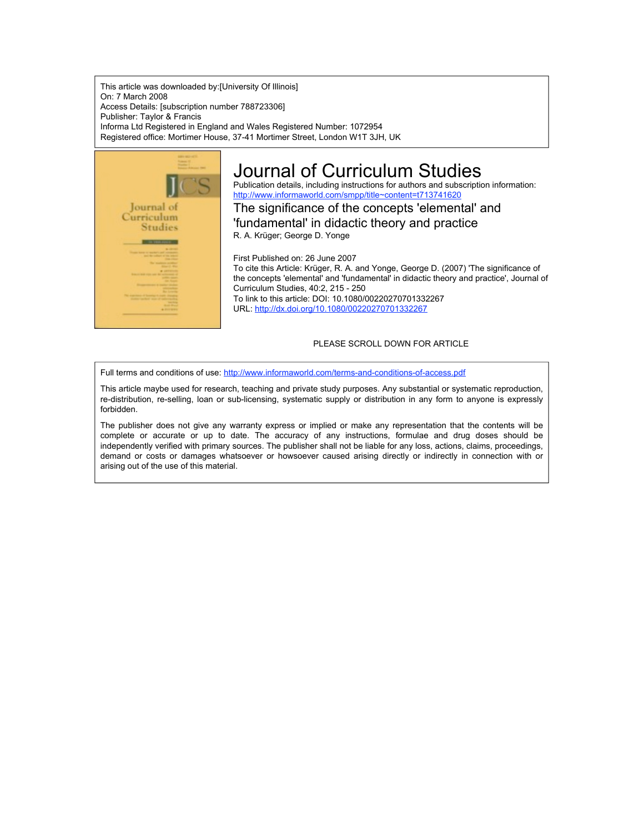This article was downloaded by:[University Of Illinois] On: 7 March 2008 Access Details: [subscription number 788723306] Publisher: Taylor & Francis Informa Ltd Registered in England and Wales Registered Number: 1072954 Registered office: Mortimer House, 37-41 Mortimer Street, London W1T 3JH, UK



# Journal of Curriculum Studies

Publication details, including instructions for authors and subscription information: http://www.informaworld.com/smpp/title~content=t713741620

The significance of the concepts 'elemental' and 'fundamental' in didactic theory and practice R. A. Krüger; George D. Yonge

First Published on: 26 June 2007 To cite this Article: Krüger, R. A. and Yonge, George D. (2007) 'The significance of the concepts 'elemental' and 'fundamental' in didactic theory and practice', Journal of Curriculum Studies, 40:2, 215 - 250 To link to this article: DOI: 10.1080/00220270701332267 URL: http://dx.doi.org/10.1080/00220270701332267

## PLEASE SCROLL DOWN FOR ARTICLE

Full terms and conditions of use: http://www.informaworld.com/terms-and-conditions-of-access.pdf

This article maybe used for research, teaching and private study purposes. Any substantial or systematic reproduction, re-distribution, re-selling, loan or sub-licensing, systematic supply or distribution in any form to anyone is expressly forbidden.

The publisher does not give any warranty express or implied or make any representation that the contents will be complete or accurate or up to date. The accuracy of any instructions, formulae and drug doses should be independently verified with primary sources. The publisher shall not be liable for any loss, actions, claims, proceedings, demand or costs or damages whatsoever or howsoever caused arising directly or indirectly in connection with or arising out of the use of this material.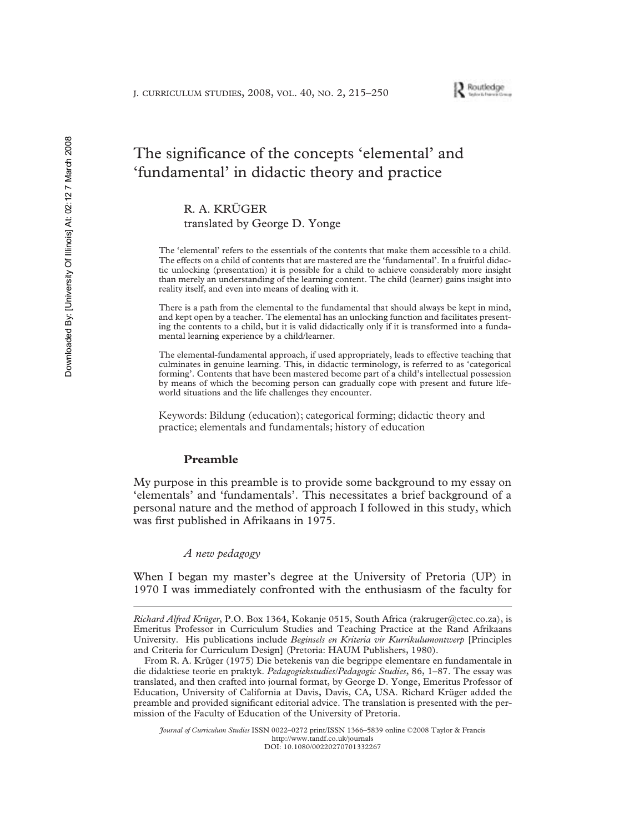

## The significance of the concepts 'elemental' and 'fundamental' in didactic theory and practice

R. A. KRÜGER

translated by George D. Yonge

The 'elemental' refers to the essentials of the contents that make them accessible to a child. The effects on a child of contents that are mastered are the 'fundamental'. In a fruitful didactic unlocking (presentation) it is possible for a child to achieve considerably more insight than merely an understanding of the learning content. The child (learner) gains insight into reality itself, and even into means of dealing with it.

There is a path from the elemental to the fundamental that should always be kept in mind, and kept open by a teacher. The elemental has an unlocking function and facilitates presenting the contents to a child, but it is valid didactically only if it is transformed into a fundamental learning experience by a child/learner.

The elemental-fundamental approach, if used appropriately, leads to effective teaching that culminates in genuine learning. This, in didactic terminology, is referred to as 'categorical forming'. Contents that have been mastered become part of a child's intellectual possession by means of which the becoming person can gradually cope with present and future lifeworld situations and the life challenges they encounter.

Keywords: Bildung (education); categorical forming; didactic theory and practice; elementals and fundamentals; history of education

#### **Preamble**

My purpose in this preamble is to provide some background to my essay on 'elementals' and 'fundamentals'. This necessitates a brief background of a personal nature and the method of approach I followed in this study, which was first published in Afrikaans in 1975.

## *A new pedagogy*

When I began my master's degree at the University of Pretoria (UP) in 1970 I was immediately confronted with the enthusiasm of the faculty for

*Richard Alfred Krüger*, P.O. Box 1364, Kokanje 0515, South Africa (rakruger@ctec.co.za), is Emeritus Professor in Curriculum Studies and Teaching Practice at the Rand Afrikaans University. His publications include *Beginsels en Kriteria vir Kurrikulumontwerp* [Principles and Criteria for Curriculum Design] (Pretoria: HAUM Publishers, 1980).

From R. A. Krüger (1975) Die betekenis van die begrippe elementare en fundamentale in die didaktiese teorie en praktyk. *Pedagogiekstudies/Pedagogic Studies*, 86, 1–87. The essay was translated, and then crafted into journal format, by George D. Yonge, Emeritus Professor of Education, University of California at Davis, Davis, CA, USA. Richard Krüger added the preamble and provided significant editorial advice. The translation is presented with the permission of the Faculty of Education of the University of Pretoria.

*Journal of Curriculum Studies* ISSN 0022–0272 print/ISSN 1366–5839 online ©2008 Taylor & Francis http://www.tandf.co.uk/journals DOI: 10.1080/00220270701332267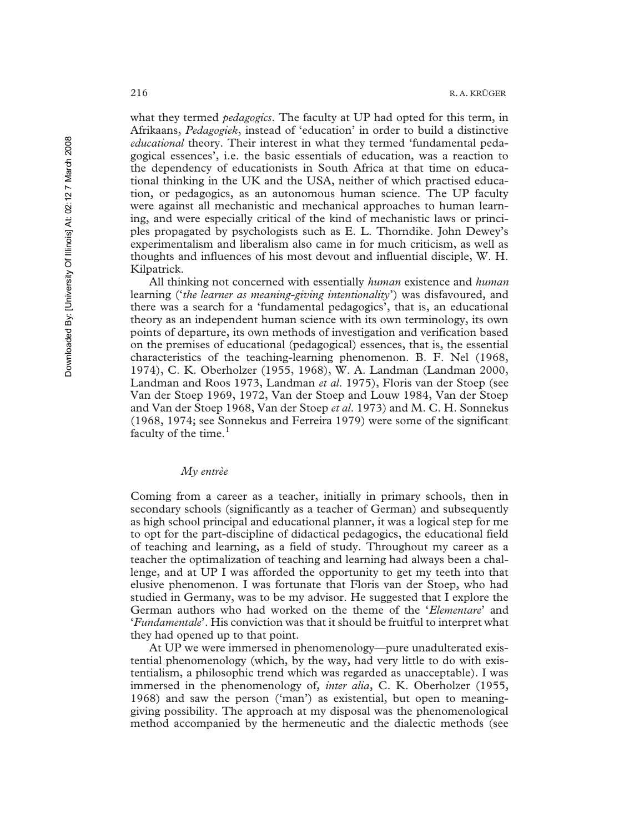what they termed *pedagogics*. The faculty at UP had opted for this term, in Afrikaans, *Pedagogiek*, instead of 'education' in order to build a distinctive *educational* theory. Their interest in what they termed 'fundamental pedagogical essences', i.e. the basic essentials of education, was a reaction to the dependency of educationists in South Africa at that time on educational thinking in the UK and the USA, neither of which practised education, or pedagogics, as an autonomous human science. The UP faculty were against all mechanistic and mechanical approaches to human learning, and were especially critical of the kind of mechanistic laws or principles propagated by psychologists such as E. L. Thorndike. John Dewey's experimentalism and liberalism also came in for much criticism, as well as thoughts and influences of his most devout and influential disciple, W. H. Kilpatrick.

All thinking not concerned with essentially *human* existence and *human* learning ('*the learner as meaning-giving intentionality*') was disfavoured, and there was a search for a 'fundamental pedagogics', that is, an educational theory as an independent human science with its own terminology, its own points of departure, its own methods of investigation and verification based on the premises of educational (pedagogical) essences, that is, the essential characteristics of the teaching-learning phenomenon. B. F. Nel (1968, 1974), C. K. Oberholzer (1955, 1968), W. A. Landman (Landman 2000, Landman and Roos 1973, Landman *et al*. 1975), Floris van der Stoep (see Van der Stoep 1969, 1972, Van der Stoep and Louw 1984, Van der Stoep and Van der Stoep 1968, Van der Stoep *et al*. 1973) and M. C. H. Sonnekus (1968, 1974; see Sonnekus and Ferreira 1979) were some of the significant faculty of the time.<sup>1</sup>

## *My entrèe*

Coming from a career as a teacher, initially in primary schools, then in secondary schools (significantly as a teacher of German) and subsequently as high school principal and educational planner, it was a logical step for me to opt for the part-discipline of didactical pedagogics, the educational field of teaching and learning, as a field of study. Throughout my career as a teacher the optimalization of teaching and learning had always been a challenge, and at UP I was afforded the opportunity to get my teeth into that elusive phenomenon. I was fortunate that Floris van der Stoep, who had studied in Germany, was to be my advisor. He suggested that I explore the German authors who had worked on the theme of the '*Elementare*' and '*Fundamentale*'. His conviction was that it should be fruitful to interpret what they had opened up to that point.

At UP we were immersed in phenomenology—pure unadulterated existential phenomenology (which, by the way, had very little to do with existentialism, a philosophic trend which was regarded as unacceptable). I was immersed in the phenomenology of, *inter alia*, C. K. Oberholzer (1955, 1968) and saw the person ('man') as existential, but open to meaninggiving possibility. The approach at my disposal was the phenomenological method accompanied by the hermeneutic and the dialectic methods (see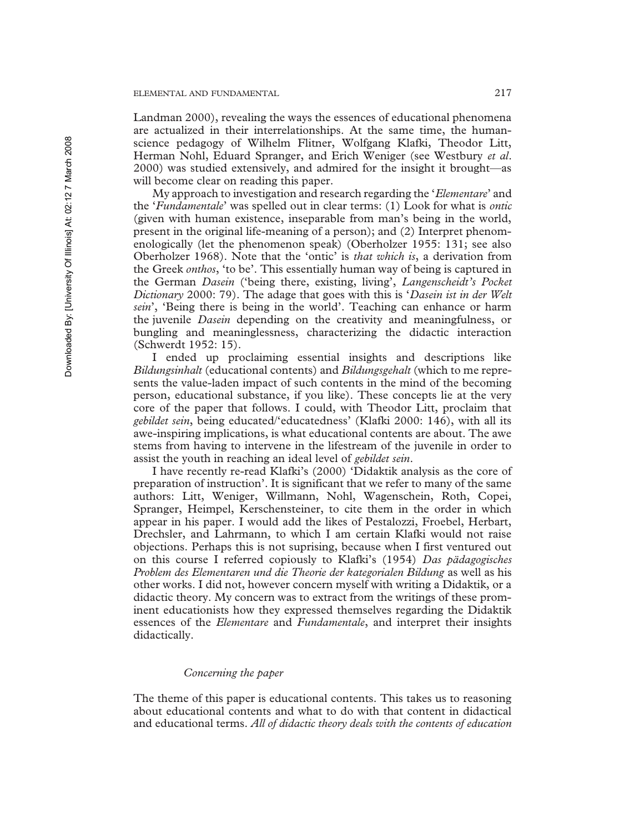Landman 2000), revealing the ways the essences of educational phenomena are actualized in their interrelationships. At the same time, the humanscience pedagogy of Wilhelm Flitner, Wolfgang Klafki, Theodor Litt, Herman Nohl, Eduard Spranger, and Erich Weniger (see Westbury *et al*. 2000) was studied extensively, and admired for the insight it brought—as will become clear on reading this paper.

My approach to investigation and research regarding the '*Elementare*' and the '*Fundamentale*' was spelled out in clear terms: (1) Look for what is *ontic* (given with human existence, inseparable from man's being in the world, present in the original life-meaning of a person); and (2) Interpret phenomenologically (let the phenomenon speak) (Oberholzer 1955: 131; see also Oberholzer 1968). Note that the 'ontic' is *that which is*, a derivation from the Greek *onthos*, 'to be'. This essentially human way of being is captured in the German *Dasein* ('being there, existing, living', *Langenscheidt's Pocket Dictionary* 2000: 79). The adage that goes with this is '*Dasein ist in der Welt sein*', 'Being there is being in the world'. Teaching can enhance or harm the juvenile *Dasein* depending on the creativity and meaningfulness, or bungling and meaninglessness, characterizing the didactic interaction (Schwerdt 1952: 15).

I ended up proclaiming essential insights and descriptions like *Bildungsinhalt* (educational contents) and *Bildungsgehalt* (which to me represents the value-laden impact of such contents in the mind of the becoming person, educational substance, if you like). These concepts lie at the very core of the paper that follows. I could, with Theodor Litt, proclaim that *gebildet sein*, being educated/'educatedness' (Klafki 2000: 146), with all its awe-inspiring implications, is what educational contents are about. The awe stems from having to intervene in the lifestream of the juvenile in order to assist the youth in reaching an ideal level of *gebildet sein*.

I have recently re-read Klafki's (2000) 'Didaktik analysis as the core of preparation of instruction'. It is significant that we refer to many of the same authors: Litt, Weniger, Willmann, Nohl, Wagenschein, Roth, Copei, Spranger, Heimpel, Kerschensteiner, to cite them in the order in which appear in his paper. I would add the likes of Pestalozzi, Froebel, Herbart, Drechsler, and Lahrmann, to which I am certain Klafki would not raise objections. Perhaps this is not suprising, because when I first ventured out on this course I referred copiously to Klafki's (1954) *Das pädagogisches Problem des Elementaren und die Theorie der kategorialen Bildung* as well as his other works. I did not, however concern myself with writing a Didaktik, or a didactic theory. My concern was to extract from the writings of these prominent educationists how they expressed themselves regarding the Didaktik essences of the *Elementare* and *Fundamentale*, and interpret their insights didactically.

## *Concerning the paper*

The theme of this paper is educational contents. This takes us to reasoning about educational contents and what to do with that content in didactical and educational terms. *All of didactic theory deals with the contents of education*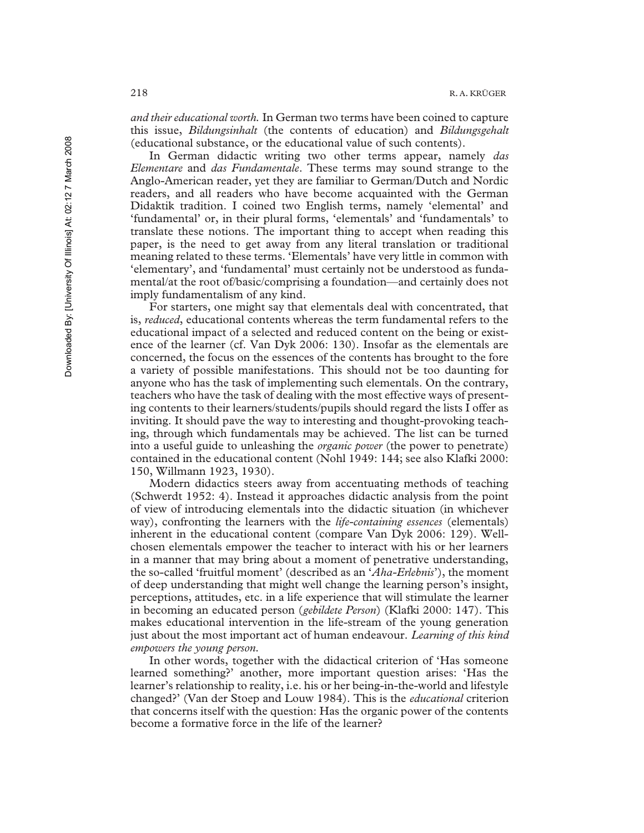*and their educational worth.* In German two terms have been coined to capture this issue, *Bildungsinhalt* (the contents of education) and *Bildungsgehalt* (educational substance, or the educational value of such contents).

In German didactic writing two other terms appear, namely *das Elementare* and *das Fundamentale*. These terms may sound strange to the Anglo-American reader, yet they are familiar to German/Dutch and Nordic readers, and all readers who have become acquainted with the German Didaktik tradition. I coined two English terms, namely 'elemental' and 'fundamental' or, in their plural forms, 'elementals' and 'fundamentals' to translate these notions. The important thing to accept when reading this paper, is the need to get away from any literal translation or traditional meaning related to these terms. 'Elementals' have very little in common with 'elementary', and 'fundamental' must certainly not be understood as fundamental/at the root of/basic/comprising a foundation—and certainly does not imply fundamentalism of any kind.

For starters, one might say that elementals deal with concentrated, that is, *reduced*, educational contents whereas the term fundamental refers to the educational impact of a selected and reduced content on the being or existence of the learner (cf. Van Dyk 2006: 130). Insofar as the elementals are concerned, the focus on the essences of the contents has brought to the fore a variety of possible manifestations. This should not be too daunting for anyone who has the task of implementing such elementals. On the contrary, teachers who have the task of dealing with the most effective ways of presenting contents to their learners/students/pupils should regard the lists I offer as inviting. It should pave the way to interesting and thought-provoking teaching, through which fundamentals may be achieved. The list can be turned into a useful guide to unleashing the *organic power* (the power to penetrate) contained in the educational content (Nohl 1949: 144; see also Klafki 2000: 150, Willmann 1923, 1930).

Modern didactics steers away from accentuating methods of teaching (Schwerdt 1952: 4). Instead it approaches didactic analysis from the point of view of introducing elementals into the didactic situation (in whichever way), confronting the learners with the *life-containing essences* (elementals) inherent in the educational content (compare Van Dyk 2006: 129). Wellchosen elementals empower the teacher to interact with his or her learners in a manner that may bring about a moment of penetrative understanding, the so-called 'fruitful moment' (described as an '*Aha-Erlebnis*'), the moment of deep understanding that might well change the learning person's insight, perceptions, attitudes, etc. in a life experience that will stimulate the learner in becoming an educated person (*gebildete Person*) (Klafki 2000: 147). This makes educational intervention in the life-stream of the young generation just about the most important act of human endeavour. *Learning of this kind empowers the young person.*

In other words, together with the didactical criterion of 'Has someone learned something?' another, more important question arises: 'Has the learner's relationship to reality, i.e. his or her being-in-the-world and lifestyle changed?' (Van der Stoep and Louw 1984). This is the *educational* criterion that concerns itself with the question: Has the organic power of the contents become a formative force in the life of the learner?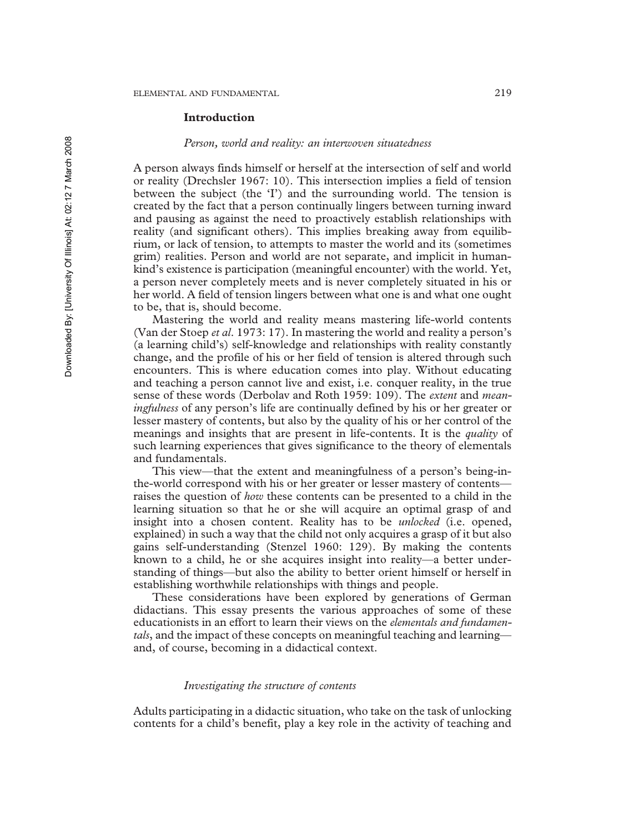#### **Introduction**

#### *Person, world and reality: an interwoven situatedness*

A person always finds himself or herself at the intersection of self and world or reality (Drechsler 1967: 10). This intersection implies a field of tension between the subject (the 'I') and the surrounding world. The tension is created by the fact that a person continually lingers between turning inward and pausing as against the need to proactively establish relationships with reality (and significant others). This implies breaking away from equilibrium, or lack of tension, to attempts to master the world and its (sometimes grim) realities. Person and world are not separate, and implicit in humankind's existence is participation (meaningful encounter) with the world. Yet, a person never completely meets and is never completely situated in his or her world. A field of tension lingers between what one is and what one ought to be, that is, should become.

Mastering the world and reality means mastering life-world contents (Van der Stoep *et al*. 1973: 17). In mastering the world and reality a person's (a learning child's) self-knowledge and relationships with reality constantly change, and the profile of his or her field of tension is altered through such encounters. This is where education comes into play. Without educating and teaching a person cannot live and exist, i.e. conquer reality, in the true sense of these words (Derbolav and Roth 1959: 109). The *extent* and *meaningfulness* of any person's life are continually defined by his or her greater or lesser mastery of contents, but also by the quality of his or her control of the meanings and insights that are present in life-contents. It is the *quality* of such learning experiences that gives significance to the theory of elementals and fundamentals.

This view—that the extent and meaningfulness of a person's being-inthe-world correspond with his or her greater or lesser mastery of contents raises the question of *how* these contents can be presented to a child in the learning situation so that he or she will acquire an optimal grasp of and insight into a chosen content. Reality has to be *unlocked* (i.e. opened, explained) in such a way that the child not only acquires a grasp of it but also gains self-understanding (Stenzel 1960: 129). By making the contents known to a child, he or she acquires insight into reality—a better understanding of things—but also the ability to better orient himself or herself in establishing worthwhile relationships with things and people.

These considerations have been explored by generations of German didactians. This essay presents the various approaches of some of these educationists in an effort to learn their views on the *elementals and fundamentals*, and the impact of these concepts on meaningful teaching and learning and, of course, becoming in a didactical context.

## *Investigating the structure of contents*

Adults participating in a didactic situation, who take on the task of unlocking contents for a child's benefit, play a key role in the activity of teaching and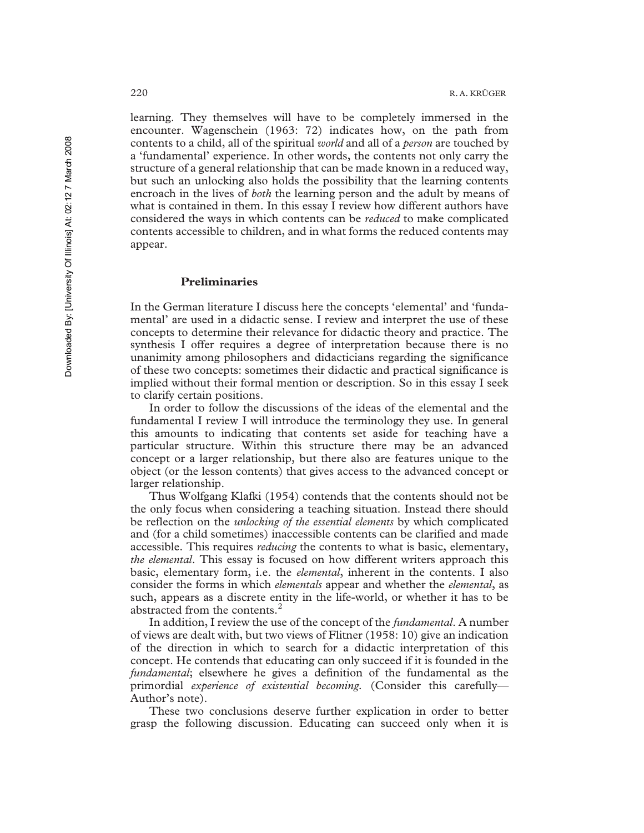learning. They themselves will have to be completely immersed in the encounter. Wagenschein (1963: 72) indicates how, on the path from contents to a child, all of the spiritual *world* and all of a *person* are touched by a 'fundamental' experience. In other words, the contents not only carry the structure of a general relationship that can be made known in a reduced way, but such an unlocking also holds the possibility that the learning contents encroach in the lives of *both* the learning person and the adult by means of what is contained in them. In this essay I review how different authors have considered the ways in which contents can be *reduced* to make complicated contents accessible to children, and in what forms the reduced contents may appear.

### **Preliminaries**

In the German literature I discuss here the concepts 'elemental' and 'fundamental' are used in a didactic sense. I review and interpret the use of these concepts to determine their relevance for didactic theory and practice. The synthesis I offer requires a degree of interpretation because there is no unanimity among philosophers and didacticians regarding the significance of these two concepts: sometimes their didactic and practical significance is implied without their formal mention or description. So in this essay I seek to clarify certain positions.

In order to follow the discussions of the ideas of the elemental and the fundamental I review I will introduce the terminology they use. In general this amounts to indicating that contents set aside for teaching have a particular structure. Within this structure there may be an advanced concept or a larger relationship, but there also are features unique to the object (or the lesson contents) that gives access to the advanced concept or larger relationship.

Thus Wolfgang Klafki (1954) contends that the contents should not be the only focus when considering a teaching situation. Instead there should be reflection on the *unlocking of the essential elements* by which complicated and (for a child sometimes) inaccessible contents can be clarified and made accessible. This requires *reducing* the contents to what is basic, elementary, *the elemental*. This essay is focused on how different writers approach this basic, elementary form, i.e. the *elemental*, inherent in the contents. I also consider the forms in which *elementals* appear and whether the *elemental*, as such, appears as a discrete entity in the life-world, or whether it has to be abstracted from the contents. $^{2}$ 

In addition, I review the use of the concept of the *fundamental*. A number of views are dealt with, but two views of Flitner (1958: 10) give an indication of the direction in which to search for a didactic interpretation of this concept. He contends that educating can only succeed if it is founded in the *fundamental*; elsewhere he gives a definition of the fundamental as the primordial *experience of existential becoming.* (Consider this carefully— Author's note).

These two conclusions deserve further explication in order to better grasp the following discussion. Educating can succeed only when it is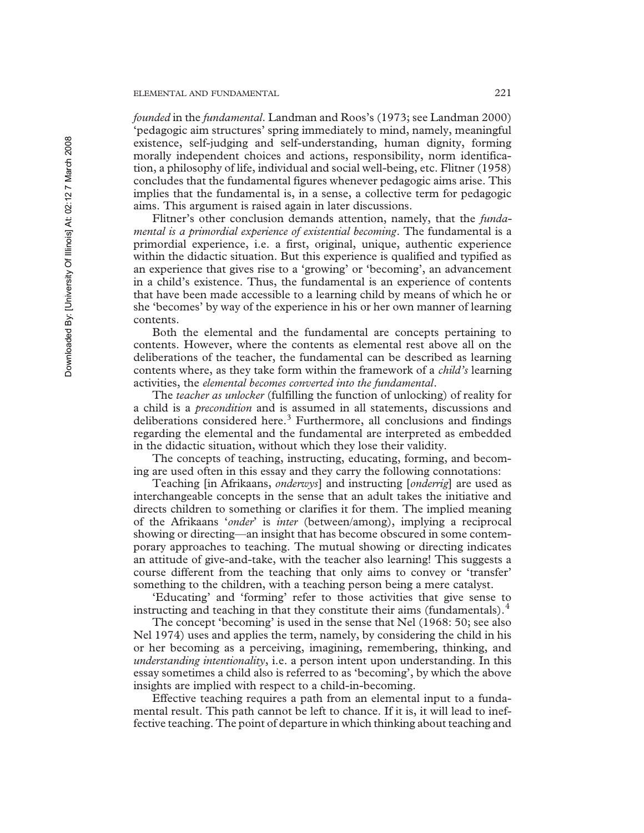*founded* in the *fundamental*. Landman and Roos's (1973; see Landman 2000) 'pedagogic aim structures' spring immediately to mind, namely, meaningful existence, self-judging and self-understanding, human dignity, forming morally independent choices and actions, responsibility, norm identification, a philosophy of life, individual and social well-being, etc. Flitner (1958) concludes that the fundamental figures whenever pedagogic aims arise. This implies that the fundamental is, in a sense, a collective term for pedagogic aims. This argument is raised again in later discussions.

Flitner's other conclusion demands attention, namely, that the *fundamental is a primordial experience of existential becoming*. The fundamental is a primordial experience, i.e. a first, original, unique, authentic experience within the didactic situation. But this experience is qualified and typified as an experience that gives rise to a 'growing' or 'becoming', an advancement in a child's existence. Thus, the fundamental is an experience of contents that have been made accessible to a learning child by means of which he or she 'becomes' by way of the experience in his or her own manner of learning contents.

Both the elemental and the fundamental are concepts pertaining to contents. However, where the contents as elemental rest above all on the deliberations of the teacher, the fundamental can be described as learning contents where, as they take form within the framework of a *child's* learning activities, the *elemental becomes converted into the fundamental*.

The *teacher as unlocker* (fulfilling the function of unlocking) of reality for a child is a *precondition* and is assumed in all statements, discussions and deliberations considered here. $3$  Furthermore, all conclusions and findings regarding the elemental and the fundamental are interpreted as embedded in the didactic situation, without which they lose their validity.

The concepts of teaching, instructing, educating, forming, and becoming are used often in this essay and they carry the following connotations:

Teaching [in Afrikaans, *onderwys*] and instructing [*onderrig*] are used as interchangeable concepts in the sense that an adult takes the initiative and directs children to something or clarifies it for them. The implied meaning of the Afrikaans '*onder*' is *inter* (between/among), implying a reciprocal showing or directing—an insight that has become obscured in some contemporary approaches to teaching. The mutual showing or directing indicates an attitude of give-and-take, with the teacher also learning! This suggests a course different from the teaching that only aims to convey or 'transfer' something to the children, with a teaching person being a mere catalyst.

'Educating' and 'forming' refer to those activities that give sense to instructing and teaching in that they constitute their aims (fundamentals). $<sup>4</sup>$ </sup>

The concept 'becoming' is used in the sense that Nel (1968: 50; see also Nel 1974) uses and applies the term, namely, by considering the child in his or her becoming as a perceiving, imagining, remembering, thinking, and *understanding intentionality*, i.e. a person intent upon understanding. In this essay sometimes a child also is referred to as 'becoming', by which the above insights are implied with respect to a child-in-becoming.

Effective teaching requires a path from an elemental input to a fundamental result. This path cannot be left to chance. If it is, it will lead to ineffective teaching. The point of departure in which thinking about teaching and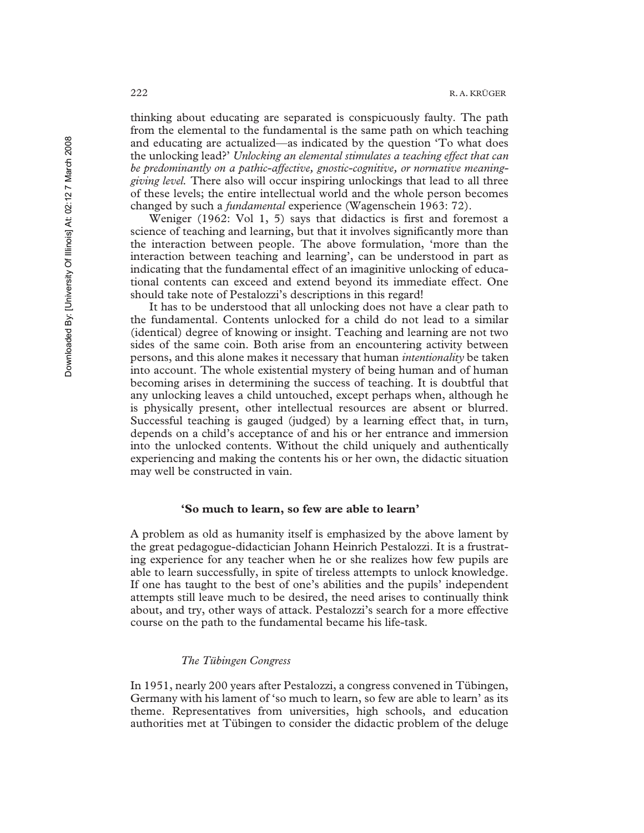thinking about educating are separated is conspicuously faulty. The path from the elemental to the fundamental is the same path on which teaching and educating are actualized—as indicated by the question 'To what does the unlocking lead?' *Unlocking an elemental stimulates a teaching effect that can be predominantly on a pathic-affective, gnostic-cognitive, or normative meaninggiving level.* There also will occur inspiring unlockings that lead to all three of these levels; the entire intellectual world and the whole person becomes changed by such a *fundamental* experience (Wagenschein 1963: 72).

Weniger (1962: Vol 1, 5) says that didactics is first and foremost a science of teaching and learning, but that it involves significantly more than the interaction between people. The above formulation, 'more than the interaction between teaching and learning', can be understood in part as indicating that the fundamental effect of an imaginitive unlocking of educational contents can exceed and extend beyond its immediate effect. One should take note of Pestalozzi's descriptions in this regard!

It has to be understood that all unlocking does not have a clear path to the fundamental. Contents unlocked for a child do not lead to a similar (identical) degree of knowing or insight. Teaching and learning are not two sides of the same coin. Both arise from an encountering activity between persons, and this alone makes it necessary that human *intentionality* be taken into account. The whole existential mystery of being human and of human becoming arises in determining the success of teaching. It is doubtful that any unlocking leaves a child untouched, except perhaps when, although he is physically present, other intellectual resources are absent or blurred. Successful teaching is gauged (judged) by a learning effect that, in turn, depends on a child's acceptance of and his or her entrance and immersion into the unlocked contents. Without the child uniquely and authentically experiencing and making the contents his or her own, the didactic situation may well be constructed in vain.

## **'So much to learn, so few are able to learn'**

A problem as old as humanity itself is emphasized by the above lament by the great pedagogue-didactician Johann Heinrich Pestalozzi. It is a frustrating experience for any teacher when he or she realizes how few pupils are able to learn successfully, in spite of tireless attempts to unlock knowledge. If one has taught to the best of one's abilities and the pupils' independent attempts still leave much to be desired, the need arises to continually think about, and try, other ways of attack. Pestalozzi's search for a more effective course on the path to the fundamental became his life-task.

#### *The Tübingen Congress*

In 1951, nearly 200 years after Pestalozzi, a congress convened in Tübingen, Germany with his lament of 'so much to learn, so few are able to learn' as its theme. Representatives from universities, high schools, and education authorities met at Tübingen to consider the didactic problem of the deluge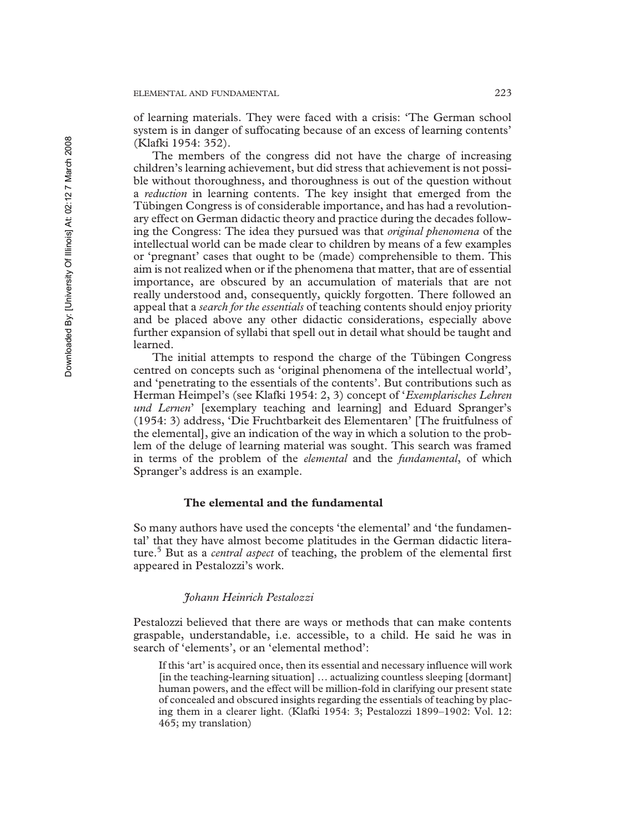of learning materials. They were faced with a crisis: 'The German school system is in danger of suffocating because of an excess of learning contents' (Klafki 1954: 352).

The members of the congress did not have the charge of increasing children's learning achievement, but did stress that achievement is not possible without thoroughness, and thoroughness is out of the question without a *reduction* in learning contents. The key insight that emerged from the Tübingen Congress is of considerable importance, and has had a revolutionary effect on German didactic theory and practice during the decades following the Congress: The idea they pursued was that *original phenomena* of the intellectual world can be made clear to children by means of a few examples or 'pregnant' cases that ought to be (made) comprehensible to them. This aim is not realized when or if the phenomena that matter, that are of essential importance, are obscured by an accumulation of materials that are not really understood and, consequently, quickly forgotten. There followed an appeal that a *search for the essentials* of teaching contents should enjoy priority and be placed above any other didactic considerations, especially above further expansion of syllabi that spell out in detail what should be taught and learned.

The initial attempts to respond the charge of the Tübingen Congress centred on concepts such as 'original phenomena of the intellectual world', and 'penetrating to the essentials of the contents'. But contributions such as Herman Heimpel's (see Klafki 1954: 2, 3) concept of '*Exemplarisches Lehren und Lernen*' [exemplary teaching and learning] and Eduard Spranger's (1954: 3) address, 'Die Fruchtbarkeit des Elementaren' [The fruitfulness of the elemental], give an indication of the way in which a solution to the problem of the deluge of learning material was sought. This search was framed in terms of the problem of the *elemental* and the *fundamental*, of which Spranger's address is an example.

## **The elemental and the fundamental**

So many authors have used the concepts 'the elemental' and 'the fundamental' that they have almost become platitudes in the German didactic literature.<sup>5</sup> But as a *central aspect* of teaching, the problem of the elemental first appeared in Pestalozzi's work.

#### *Johann Heinrich Pestalozzi*

Pestalozzi believed that there are ways or methods that can make contents graspable, understandable, i.e. accessible, to a child. He said he was in search of 'elements', or an 'elemental method':

If this 'art' is acquired once, then its essential and necessary influence will work [in the teaching-learning situation] ... actualizing countless sleeping [dormant] human powers, and the effect will be million-fold in clarifying our present state of concealed and obscured insights regarding the essentials of teaching by placing them in a clearer light. (Klafki 1954: 3; Pestalozzi 1899–1902: Vol. 12: 465; my translation)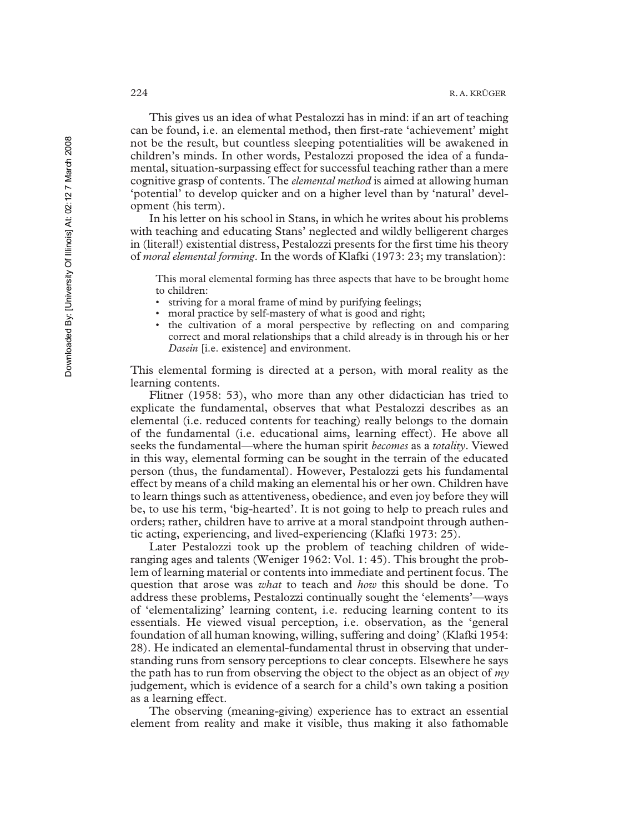This gives us an idea of what Pestalozzi has in mind: if an art of teaching can be found, i.e. an elemental method, then first-rate 'achievement' might not be the result, but countless sleeping potentialities will be awakened in children's minds. In other words, Pestalozzi proposed the idea of a fundamental, situation-surpassing effect for successful teaching rather than a mere cognitive grasp of contents. The *elemental method* is aimed at allowing human 'potential' to develop quicker and on a higher level than by 'natural' development (his term).

In his letter on his school in Stans, in which he writes about his problems with teaching and educating Stans' neglected and wildly belligerent charges in (literal!) existential distress, Pestalozzi presents for the first time his theory of *moral elemental forming*. In the words of Klafki (1973: 23; my translation):

This moral elemental forming has three aspects that have to be brought home to children:

- striving for a moral frame of mind by purifying feelings;
- moral practice by self-mastery of what is good and right;
- the cultivation of a moral perspective by reflecting on and comparing correct and moral relationships that a child already is in through his or her *Dasein* [i.e. existence] and environment.

This elemental forming is directed at a person, with moral reality as the learning contents.

Flitner (1958: 53), who more than any other didactician has tried to explicate the fundamental, observes that what Pestalozzi describes as an elemental (i.e. reduced contents for teaching) really belongs to the domain of the fundamental (i.e. educational aims, learning effect). He above all seeks the fundamental—where the human spirit *becomes* as a *totality*. Viewed in this way, elemental forming can be sought in the terrain of the educated person (thus, the fundamental). However, Pestalozzi gets his fundamental effect by means of a child making an elemental his or her own. Children have to learn things such as attentiveness, obedience, and even joy before they will be, to use his term, 'big-hearted'. It is not going to help to preach rules and orders; rather, children have to arrive at a moral standpoint through authentic acting, experiencing, and lived-experiencing (Klafki 1973: 25).

Later Pestalozzi took up the problem of teaching children of wideranging ages and talents (Weniger 1962: Vol. 1: 45). This brought the problem of learning material or contents into immediate and pertinent focus. The question that arose was *what* to teach and *how* this should be done. To address these problems, Pestalozzi continually sought the 'elements'—ways of 'elementalizing' learning content, i.e. reducing learning content to its essentials. He viewed visual perception, i.e. observation, as the 'general foundation of all human knowing, willing, suffering and doing' (Klafki 1954: 28). He indicated an elemental-fundamental thrust in observing that understanding runs from sensory perceptions to clear concepts. Elsewhere he says the path has to run from observing the object to the object as an object of *my* judgement, which is evidence of a search for a child's own taking a position as a learning effect.

The observing (meaning-giving) experience has to extract an essential element from reality and make it visible, thus making it also fathomable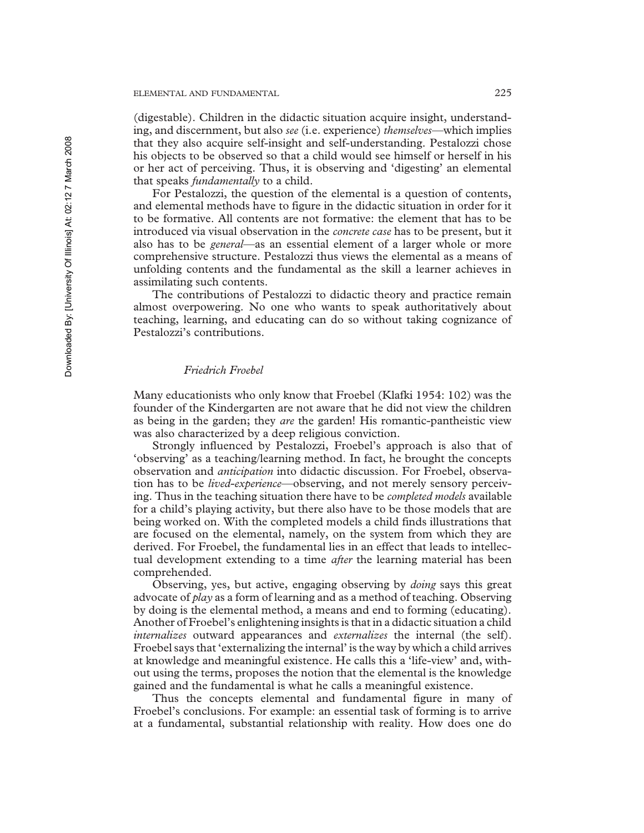(digestable). Children in the didactic situation acquire insight, understanding, and discernment, but also *see* (i.e. experience) *themselves*—which implies that they also acquire self-insight and self-understanding. Pestalozzi chose his objects to be observed so that a child would see himself or herself in his or her act of perceiving. Thus, it is observing and 'digesting' an elemental that speaks *fundamentally* to a child.

For Pestalozzi, the question of the elemental is a question of contents, and elemental methods have to figure in the didactic situation in order for it to be formative. All contents are not formative: the element that has to be introduced via visual observation in the *concrete case* has to be present, but it also has to be *general*—as an essential element of a larger whole or more comprehensive structure. Pestalozzi thus views the elemental as a means of unfolding contents and the fundamental as the skill a learner achieves in assimilating such contents.

The contributions of Pestalozzi to didactic theory and practice remain almost overpowering. No one who wants to speak authoritatively about teaching, learning, and educating can do so without taking cognizance of Pestalozzi's contributions.

## *Friedrich Froebel*

Many educationists who only know that Froebel (Klafki 1954: 102) was the founder of the Kindergarten are not aware that he did not view the children as being in the garden; they *are* the garden! His romantic-pantheistic view was also characterized by a deep religious conviction.

Strongly influenced by Pestalozzi, Froebel's approach is also that of 'observing' as a teaching/learning method. In fact, he brought the concepts observation and *anticipation* into didactic discussion. For Froebel, observation has to be *lived-experience*—observing, and not merely sensory perceiving. Thus in the teaching situation there have to be *completed models* available for a child's playing activity, but there also have to be those models that are being worked on. With the completed models a child finds illustrations that are focused on the elemental, namely, on the system from which they are derived. For Froebel, the fundamental lies in an effect that leads to intellectual development extending to a time *after* the learning material has been comprehended.

Observing, yes, but active, engaging observing by *doing* says this great advocate of *play* as a form of learning and as a method of teaching. Observing by doing is the elemental method, a means and end to forming (educating). Another of Froebel's enlightening insights is that in a didactic situation a child *internalizes* outward appearances and *externalizes* the internal (the self). Froebel says that 'externalizing the internal' is the way by which a child arrives at knowledge and meaningful existence. He calls this a 'life-view' and, without using the terms, proposes the notion that the elemental is the knowledge gained and the fundamental is what he calls a meaningful existence.

Thus the concepts elemental and fundamental figure in many of Froebel's conclusions. For example: an essential task of forming is to arrive at a fundamental, substantial relationship with reality. How does one do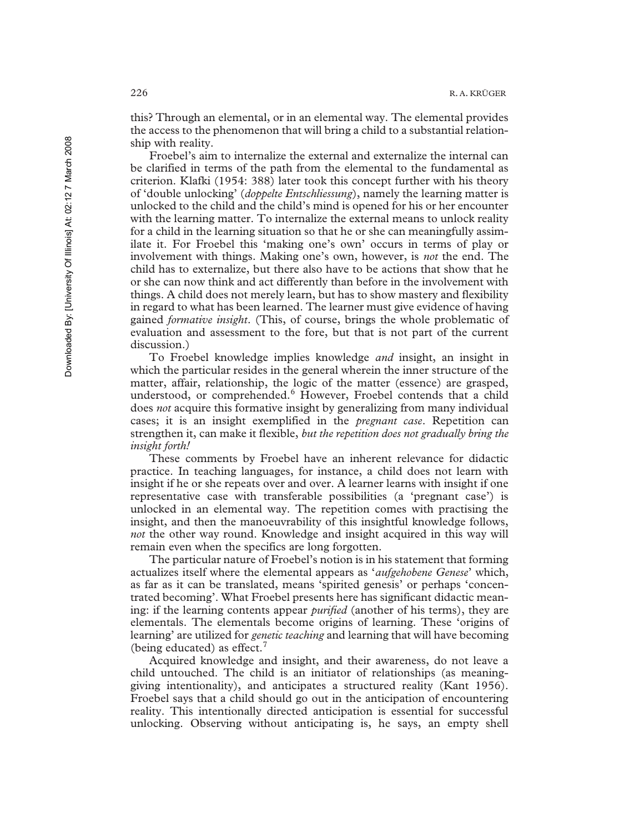this? Through an elemental, or in an elemental way. The elemental provides the access to the phenomenon that will bring a child to a substantial relationship with reality.

Froebel's aim to internalize the external and externalize the internal can be clarified in terms of the path from the elemental to the fundamental as criterion. Klafki (1954: 388) later took this concept further with his theory of 'double unlocking' (*doppelte Entschliessung*), namely the learning matter is unlocked to the child and the child's mind is opened for his or her encounter with the learning matter. To internalize the external means to unlock reality for a child in the learning situation so that he or she can meaningfully assimilate it. For Froebel this 'making one's own' occurs in terms of play or involvement with things. Making one's own, however, is *not* the end. The child has to externalize, but there also have to be actions that show that he or she can now think and act differently than before in the involvement with things. A child does not merely learn, but has to show mastery and flexibility in regard to what has been learned. The learner must give evidence of having gained *formative insight*. (This, of course, brings the whole problematic of evaluation and assessment to the fore, but that is not part of the current discussion.)

To Froebel knowledge implies knowledge *and* insight, an insight in which the particular resides in the general wherein the inner structure of the matter, affair, relationship, the logic of the matter (essence) are grasped, understood, or comprehended.<sup>6</sup> However, Froebel contends that a child does *not* acquire this formative insight by generalizing from many individual cases; it is an insight exemplified in the *pregnant case*. Repetition can strengthen it, can make it flexible, *but the repetition does not gradually bring the insight forth!*

These comments by Froebel have an inherent relevance for didactic practice. In teaching languages, for instance, a child does not learn with insight if he or she repeats over and over. A learner learns with insight if one representative case with transferable possibilities (a 'pregnant case') is unlocked in an elemental way. The repetition comes with practising the insight, and then the manoeuvrability of this insightful knowledge follows, *not* the other way round. Knowledge and insight acquired in this way will remain even when the specifics are long forgotten.

The particular nature of Froebel's notion is in his statement that forming actualizes itself where the elemental appears as '*aufgehobene Genese*' which, as far as it can be translated, means 'spirited genesis' or perhaps 'concentrated becoming'. What Froebel presents here has significant didactic meaning: if the learning contents appear *purified* (another of his terms), they are elementals. The elementals become origins of learning. These 'origins of learning' are utilized for *genetic teaching* and learning that will have becoming (being educated) as effect. $<sup>7</sup>$ </sup>

Acquired knowledge and insight, and their awareness, do not leave a child untouched. The child is an initiator of relationships (as meaninggiving intentionality), and anticipates a structured reality (Kant 1956). Froebel says that a child should go out in the anticipation of encountering reality. This intentionally directed anticipation is essential for successful unlocking. Observing without anticipating is, he says, an empty shell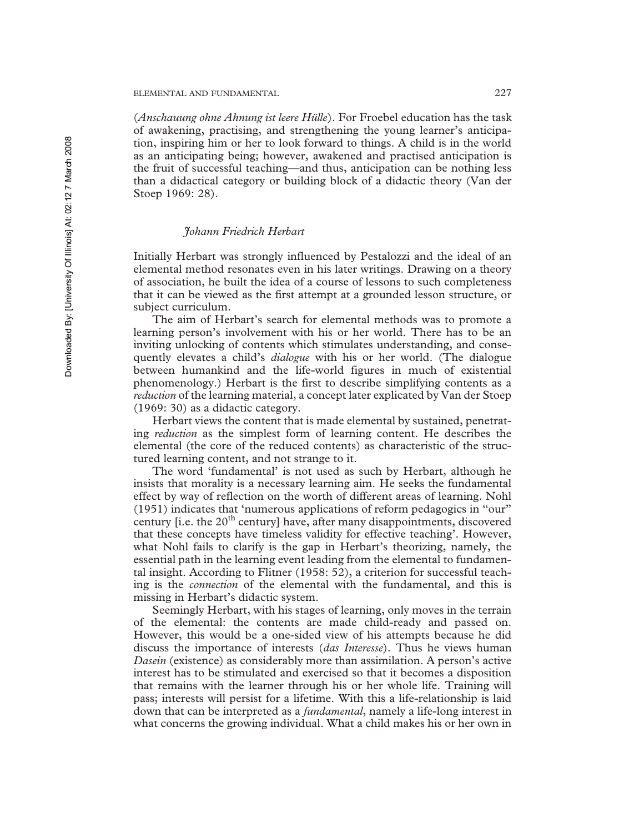## ELEMENTAL AND FUNDAMENTAL 227

(*Anschauung ohne Ahnung ist leere Hülle*). For Froebel education has the task of awakening, practising, and strengthening the young learner's anticipation, inspiring him or her to look forward to things. A child is in the world as an anticipating being; however, awakened and practised anticipation is the fruit of successful teaching—and thus, anticipation can be nothing less than a didactical category or building block of a didactic theory (Van der Stoep 1969: 28).

## *Johann Friedrich Herbart*

Initially Herbart was strongly influenced by Pestalozzi and the ideal of an elemental method resonates even in his later writings. Drawing on a theory of association, he built the idea of a course of lessons to such completeness that it can be viewed as the first attempt at a grounded lesson structure, or subject curriculum.

The aim of Herbart's search for elemental methods was to promote a learning person's involvement with his or her world. There has to be an inviting unlocking of contents which stimulates understanding, and consequently elevates a child's *dialogue* with his or her world. (The dialogue between humankind and the life-world figures in much of existential phenomenology.) Herbart is the first to describe simplifying contents as a *reduction* of the learning material, a concept later explicated by Van der Stoep (1969: 30) as a didactic category.

Herbart views the content that is made elemental by sustained, penetrating *reduction* as the simplest form of learning content. He describes the elemental (the core of the reduced contents) as characteristic of the structured learning content, and not strange to it.

The word 'fundamental' is not used as such by Herbart, although he insists that morality is a necessary learning aim. He seeks the fundamental effect by way of reflection on the worth of different areas of learning. Nohl (1951) indicates that 'numerous applications of reform pedagogics in "our" century [i.e. the  $20<sup>th</sup>$  century] have, after many disappointments, discovered that these concepts have timeless validity for effective teaching'. However, what Nohl fails to clarify is the gap in Herbart's theorizing, namely, the essential path in the learning event leading from the elemental to fundamental insight. According to Flitner (1958: 52), a criterion for successful teaching is the *connection* of the elemental with the fundamental, and this is missing in Herbart's didactic system.

Seemingly Herbart, with his stages of learning, only moves in the terrain of the elemental: the contents are made child-ready and passed on. However, this would be a one-sided view of his attempts because he did discuss the importance of interests (*das Interesse*). Thus he views human *Dasein* (existence) as considerably more than assimilation. A person's active interest has to be stimulated and exercised so that it becomes a disposition that remains with the learner through his or her whole life. Training will pass; interests will persist for a lifetime. With this a life-relationship is laid down that can be interpreted as a *fundamental*, namely a life-long interest in what concerns the growing individual. What a child makes his or her own in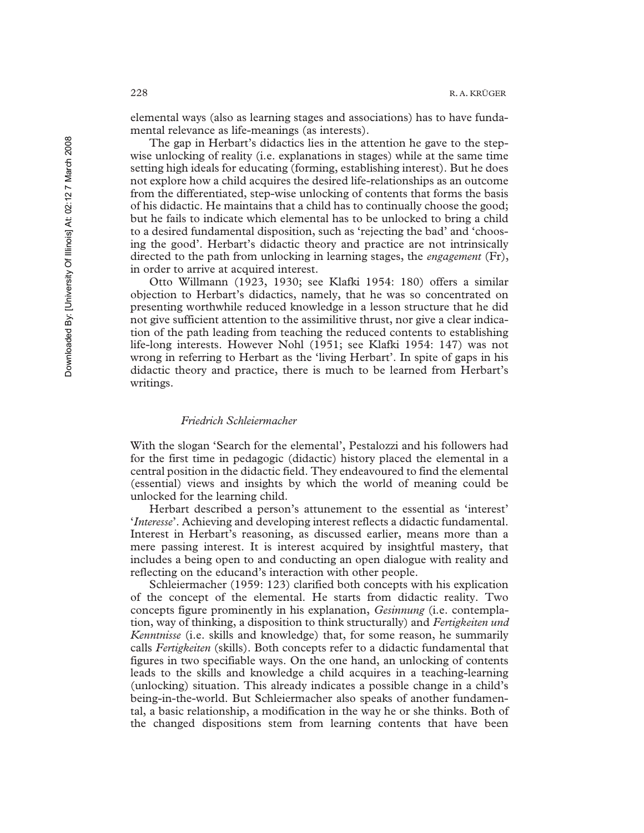elemental ways (also as learning stages and associations) has to have fundamental relevance as life-meanings (as interests).

The gap in Herbart's didactics lies in the attention he gave to the stepwise unlocking of reality (i.e. explanations in stages) while at the same time setting high ideals for educating (forming, establishing interest). But he does not explore how a child acquires the desired life-relationships as an outcome from the differentiated, step-wise unlocking of contents that forms the basis of his didactic. He maintains that a child has to continually choose the good; but he fails to indicate which elemental has to be unlocked to bring a child to a desired fundamental disposition, such as 'rejecting the bad' and 'choosing the good'. Herbart's didactic theory and practice are not intrinsically directed to the path from unlocking in learning stages, the *engagement* (Fr), in order to arrive at acquired interest.

Otto Willmann (1923, 1930; see Klafki 1954: 180) offers a similar objection to Herbart's didactics, namely, that he was so concentrated on presenting worthwhile reduced knowledge in a lesson structure that he did not give sufficient attention to the assimilitive thrust, nor give a clear indication of the path leading from teaching the reduced contents to establishing life-long interests. However Nohl (1951; see Klafki 1954: 147) was not wrong in referring to Herbart as the 'living Herbart'. In spite of gaps in his didactic theory and practice, there is much to be learned from Herbart's writings.

#### *Friedrich Schleiermacher*

With the slogan 'Search for the elemental', Pestalozzi and his followers had for the first time in pedagogic (didactic) history placed the elemental in a central position in the didactic field. They endeavoured to find the elemental (essential) views and insights by which the world of meaning could be unlocked for the learning child.

Herbart described a person's attunement to the essential as 'interest' '*Interesse*'. Achieving and developing interest reflects a didactic fundamental. Interest in Herbart's reasoning, as discussed earlier, means more than a mere passing interest. It is interest acquired by insightful mastery, that includes a being open to and conducting an open dialogue with reality and reflecting on the educand's interaction with other people.

Schleiermacher (1959: 123) clarified both concepts with his explication of the concept of the elemental. He starts from didactic reality. Two concepts figure prominently in his explanation, *Gesinnung* (i.e. contemplation, way of thinking, a disposition to think structurally) and *Fertigkeiten und Kenntnisse* (i.e. skills and knowledge) that, for some reason, he summarily calls *Fertigkeiten* (skills). Both concepts refer to a didactic fundamental that figures in two specifiable ways. On the one hand, an unlocking of contents leads to the skills and knowledge a child acquires in a teaching-learning (unlocking) situation. This already indicates a possible change in a child's being-in-the-world. But Schleiermacher also speaks of another fundamental, a basic relationship, a modification in the way he or she thinks. Both of the changed dispositions stem from learning contents that have been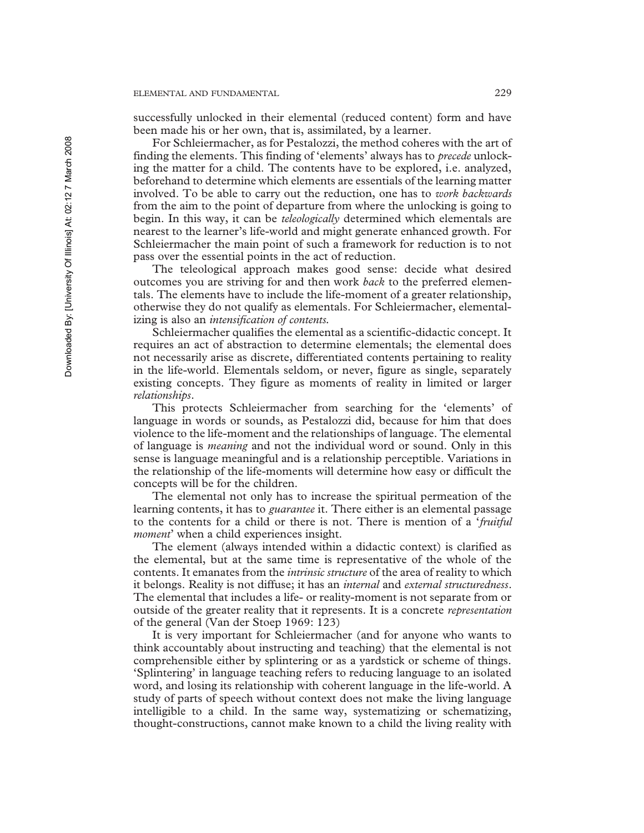successfully unlocked in their elemental (reduced content) form and have been made his or her own, that is, assimilated, by a learner.

For Schleiermacher, as for Pestalozzi, the method coheres with the art of finding the elements. This finding of 'elements' always has to *precede* unlocking the matter for a child. The contents have to be explored, i.e. analyzed, beforehand to determine which elements are essentials of the learning matter involved. To be able to carry out the reduction, one has to *work backwards* from the aim to the point of departure from where the unlocking is going to begin. In this way, it can be *teleologically* determined which elementals are nearest to the learner's life-world and might generate enhanced growth. For Schleiermacher the main point of such a framework for reduction is to not pass over the essential points in the act of reduction.

The teleological approach makes good sense: decide what desired outcomes you are striving for and then work *back* to the preferred elementals. The elements have to include the life-moment of a greater relationship, otherwise they do not qualify as elementals. For Schleiermacher, elementalizing is also an *intensification of contents.*

Schleiermacher qualifies the elemental as a scientific-didactic concept. It requires an act of abstraction to determine elementals; the elemental does not necessarily arise as discrete, differentiated contents pertaining to reality in the life-world. Elementals seldom, or never, figure as single, separately existing concepts. They figure as moments of reality in limited or larger *relationships*.

This protects Schleiermacher from searching for the 'elements' of language in words or sounds, as Pestalozzi did, because for him that does violence to the life-moment and the relationships of language. The elemental of language is *meaning* and not the individual word or sound. Only in this sense is language meaningful and is a relationship perceptible. Variations in the relationship of the life-moments will determine how easy or difficult the concepts will be for the children.

The elemental not only has to increase the spiritual permeation of the learning contents, it has to *guarantee* it. There either is an elemental passage to the contents for a child or there is not. There is mention of a '*fruitful moment*' when a child experiences insight.

The element (always intended within a didactic context) is clarified as the elemental, but at the same time is representative of the whole of the contents. It emanates from the *intrinsic structure* of the area of reality to which it belongs. Reality is not diffuse; it has an *internal* and *external structuredness*. The elemental that includes a life- or reality-moment is not separate from or outside of the greater reality that it represents. It is a concrete *representation* of the general (Van der Stoep 1969: 123)

It is very important for Schleiermacher (and for anyone who wants to think accountably about instructing and teaching) that the elemental is not comprehensible either by splintering or as a yardstick or scheme of things. 'Splintering' in language teaching refers to reducing language to an isolated word, and losing its relationship with coherent language in the life-world. A study of parts of speech without context does not make the living language intelligible to a child. In the same way, systematizing or schematizing, thought-constructions, cannot make known to a child the living reality with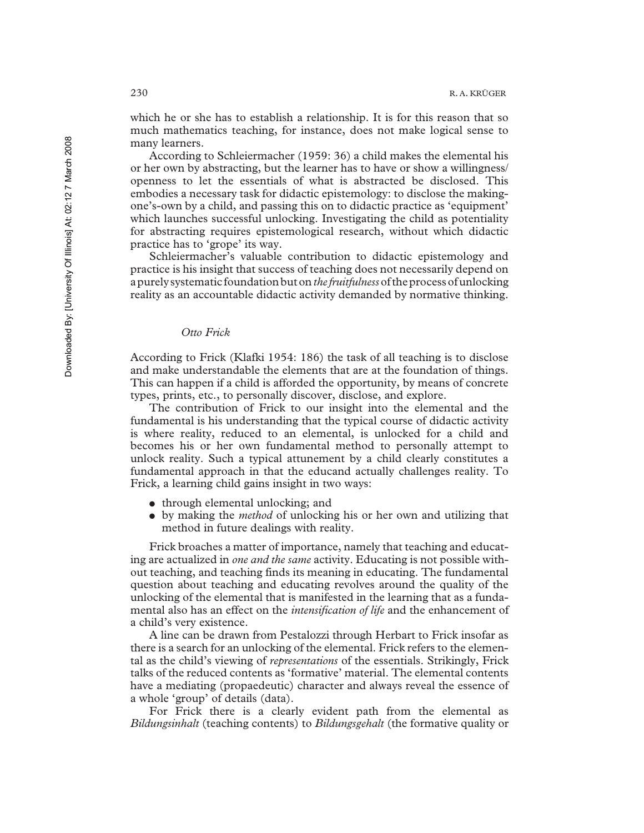which he or she has to establish a relationship. It is for this reason that so much mathematics teaching, for instance, does not make logical sense to many learners.

According to Schleiermacher (1959: 36) a child makes the elemental his or her own by abstracting, but the learner has to have or show a willingness/ openness to let the essentials of what is abstracted be disclosed. This embodies a necessary task for didactic epistemology: to disclose the makingone's-own by a child, and passing this on to didactic practice as 'equipment' which launches successful unlocking. Investigating the child as potentiality for abstracting requires epistemological research, without which didactic practice has to 'grope' its way.

Schleiermacher's valuable contribution to didactic epistemology and practice is his insight that success of teaching does not necessarily depend on a purely systematic foundation but on *the fruitfulness*of the process of unlocking reality as an accountable didactic activity demanded by normative thinking.

## *Otto Frick*

According to Frick (Klafki 1954: 186) the task of all teaching is to disclose and make understandable the elements that are at the foundation of things. This can happen if a child is afforded the opportunity, by means of concrete types, prints, etc., to personally discover, disclose, and explore.

The contribution of Frick to our insight into the elemental and the fundamental is his understanding that the typical course of didactic activity is where reality, reduced to an elemental, is unlocked for a child and becomes his or her own fundamental method to personally attempt to unlock reality. Such a typical attunement by a child clearly constitutes a fundamental approach in that the educand actually challenges reality. To Frick, a learning child gains insight in two ways:

- through elemental unlocking; and
- ! by making the *method* of unlocking his or her own and utilizing that method in future dealings with reality.

Frick broaches a matter of importance, namely that teaching and educating are actualized in *one and the same* activity. Educating is not possible without teaching, and teaching finds its meaning in educating. The fundamental question about teaching and educating revolves around the quality of the unlocking of the elemental that is manifested in the learning that as a fundamental also has an effect on the *intensification of life* and the enhancement of a child's very existence.

A line can be drawn from Pestalozzi through Herbart to Frick insofar as there is a search for an unlocking of the elemental. Frick refers to the elemental as the child's viewing of *representations* of the essentials. Strikingly, Frick talks of the reduced contents as 'formative' material. The elemental contents have a mediating (propaedeutic) character and always reveal the essence of a whole 'group' of details (data).

For Frick there is a clearly evident path from the elemental as *Bildungsinhalt* (teaching contents) to *Bildungsgehalt* (the formative quality or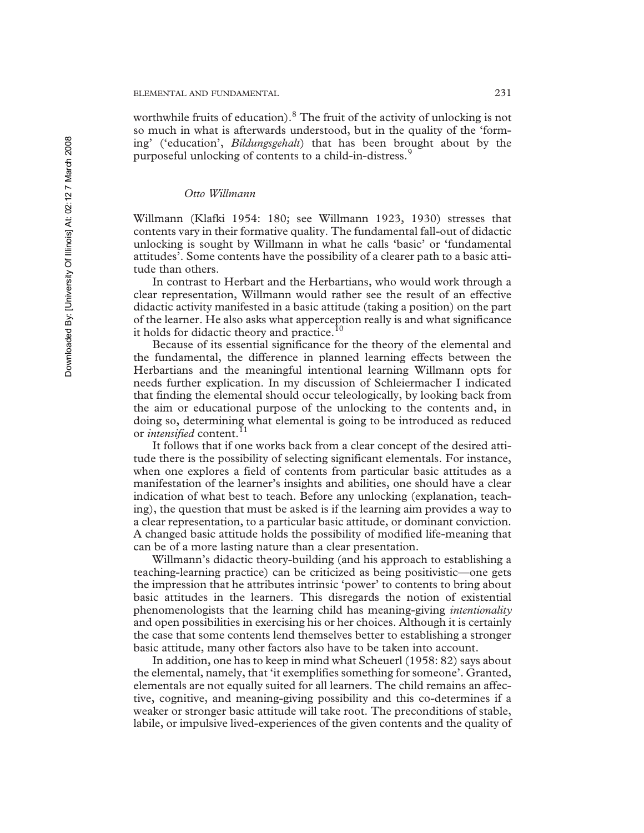worthwhile fruits of education).<sup>8</sup> The fruit of the activity of unlocking is not so much in what is afterwards understood, but in the quality of the 'forming' ('education', *Bildungsgehalt*) that has been brought about by the purposeful unlocking of contents to a child-in-distress.<sup>9</sup>

## *Otto Willmann*

Willmann (Klafki 1954: 180; see Willmann 1923, 1930) stresses that contents vary in their formative quality. The fundamental fall-out of didactic unlocking is sought by Willmann in what he calls 'basic' or 'fundamental attitudes'. Some contents have the possibility of a clearer path to a basic attitude than others.

In contrast to Herbart and the Herbartians, who would work through a clear representation, Willmann would rather see the result of an effective didactic activity manifested in a basic attitude (taking a position) on the part of the learner. He also asks what apperception really is and what significance it holds for didactic theory and practice.<sup>10</sup>

Because of its essential significance for the theory of the elemental and the fundamental, the difference in planned learning effects between the Herbartians and the meaningful intentional learning Willmann opts for needs further explication. In my discussion of Schleiermacher I indicated that finding the elemental should occur teleologically, by looking back from the aim or educational purpose of the unlocking to the contents and, in doing so, determining what elemental is going to be introduced as reduced or *intensified* content.<sup>11</sup>

It follows that if one works back from a clear concept of the desired attitude there is the possibility of selecting significant elementals. For instance, when one explores a field of contents from particular basic attitudes as a manifestation of the learner's insights and abilities, one should have a clear indication of what best to teach. Before any unlocking (explanation, teaching), the question that must be asked is if the learning aim provides a way to a clear representation, to a particular basic attitude, or dominant conviction. A changed basic attitude holds the possibility of modified life-meaning that can be of a more lasting nature than a clear presentation.

Willmann's didactic theory-building (and his approach to establishing a teaching-learning practice) can be criticized as being positivistic—one gets the impression that he attributes intrinsic 'power' to contents to bring about basic attitudes in the learners. This disregards the notion of existential phenomenologists that the learning child has meaning-giving *intentionality* and open possibilities in exercising his or her choices. Although it is certainly the case that some contents lend themselves better to establishing a stronger basic attitude, many other factors also have to be taken into account.

In addition, one has to keep in mind what Scheuerl (1958: 82) says about the elemental, namely, that 'it exemplifies something for someone'. Granted, elementals are not equally suited for all learners. The child remains an affective, cognitive, and meaning-giving possibility and this co-determines if a weaker or stronger basic attitude will take root. The preconditions of stable, labile, or impulsive lived-experiences of the given contents and the quality of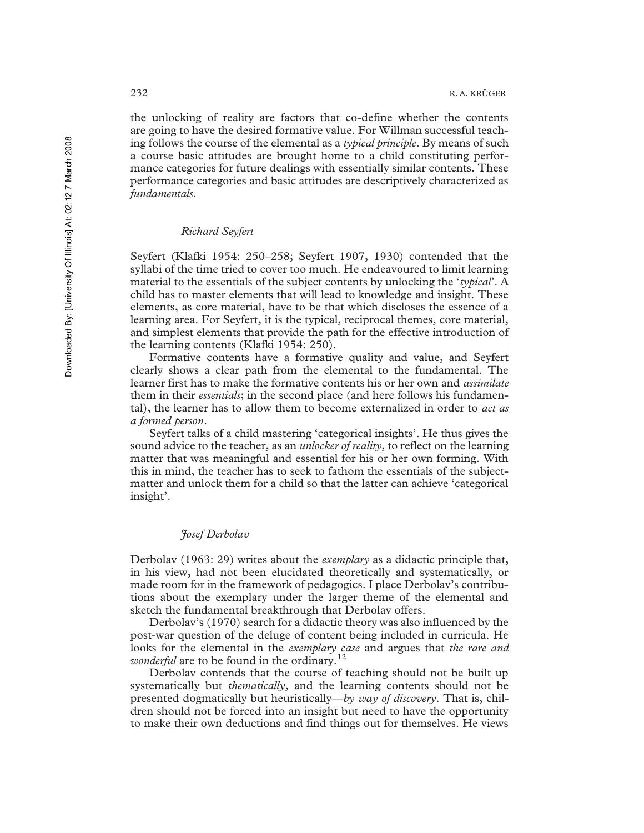the unlocking of reality are factors that co-define whether the contents are going to have the desired formative value. For Willman successful teaching follows the course of the elemental as a *typical principle*. By means of such a course basic attitudes are brought home to a child constituting performance categories for future dealings with essentially similar contents. These performance categories and basic attitudes are descriptively characterized as *fundamentals.*

## *Richard Seyfert*

Seyfert (Klafki 1954: 250–258; Seyfert 1907, 1930) contended that the syllabi of the time tried to cover too much. He endeavoured to limit learning material to the essentials of the subject contents by unlocking the '*typical*'. A child has to master elements that will lead to knowledge and insight. These elements, as core material, have to be that which discloses the essence of a learning area. For Seyfert, it is the typical, reciprocal themes, core material, and simplest elements that provide the path for the effective introduction of the learning contents (Klafki 1954: 250).

Formative contents have a formative quality and value, and Seyfert clearly shows a clear path from the elemental to the fundamental. The learner first has to make the formative contents his or her own and *assimilate* them in their *essentials*; in the second place (and here follows his fundamental), the learner has to allow them to become externalized in order to *act as a formed person*.

Seyfert talks of a child mastering 'categorical insights'. He thus gives the sound advice to the teacher, as an *unlocker of reality*, to reflect on the learning matter that was meaningful and essential for his or her own forming. With this in mind, the teacher has to seek to fathom the essentials of the subjectmatter and unlock them for a child so that the latter can achieve 'categorical insight'.

### *Josef Derbolav*

Derbolav (1963: 29) writes about the *exemplary* as a didactic principle that, in his view, had not been elucidated theoretically and systematically, or made room for in the framework of pedagogics. I place Derbolav's contributions about the exemplary under the larger theme of the elemental and sketch the fundamental breakthrough that Derbolav offers.

Derbolav's (1970) search for a didactic theory was also influenced by the post-war question of the deluge of content being included in curricula. He looks for the elemental in the *exemplary case* and argues that *the rare and wonderful* are to be found in the ordinary.<sup>12</sup>

Derbolav contends that the course of teaching should not be built up systematically but *thematically*, and the learning contents should not be presented dogmatically but heuristically—*by way of discovery*. That is, children should not be forced into an insight but need to have the opportunity to make their own deductions and find things out for themselves. He views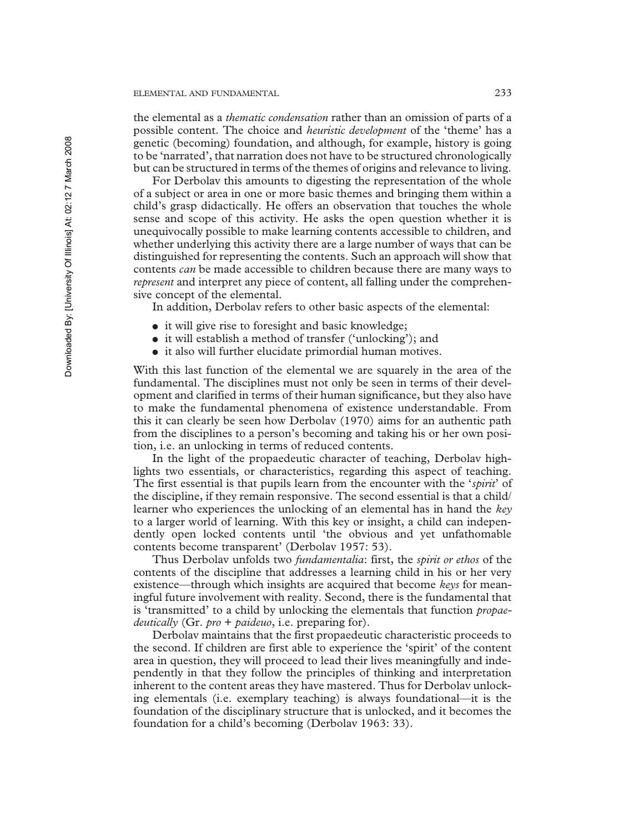the elemental as a *thematic condensation* rather than an omission of parts of a possible content. The choice and *heuristic development* of the 'theme' has a genetic (becoming) foundation, and although, for example, history is going to be 'narrated', that narration does not have to be structured chronologically but can be structured in terms of the themes of origins and relevance to living.

For Derbolav this amounts to digesting the representation of the whole of a subject or area in one or more basic themes and bringing them within a child's grasp didactically. He offers an observation that touches the whole sense and scope of this activity. He asks the open question whether it is unequivocally possible to make learning contents accessible to children, and whether underlying this activity there are a large number of ways that can be distinguished for representing the contents. Such an approach will show that contents *can* be made accessible to children because there are many ways to *represent* and interpret any piece of content, all falling under the comprehensive concept of the elemental.

In addition, Derbolav refers to other basic aspects of the elemental:

- it will give rise to foresight and basic knowledge;
- it will establish a method of transfer ('unlocking'); and
- ! it also will further elucidate primordial human motives.

With this last function of the elemental we are squarely in the area of the fundamental. The disciplines must not only be seen in terms of their development and clarified in terms of their human significance, but they also have to make the fundamental phenomena of existence understandable. From this it can clearly be seen how Derbolav (1970) aims for an authentic path from the disciplines to a person's becoming and taking his or her own position, i.e. an unlocking in terms of reduced contents.

In the light of the propaedeutic character of teaching, Derbolav highlights two essentials, or characteristics, regarding this aspect of teaching. The first essential is that pupils learn from the encounter with the '*spirit*' of the discipline, if they remain responsive. The second essential is that a child/ learner who experiences the unlocking of an elemental has in hand the *key* to a larger world of learning. With this key or insight, a child can independently open locked contents until 'the obvious and yet unfathomable contents become transparent' (Derbolav 1957: 53).

Thus Derbolav unfolds two *fundamentalia*: first, the *spirit or ethos* of the contents of the discipline that addresses a learning child in his or her very existence—through which insights are acquired that become *keys* for meaningful future involvement with reality. Second, there is the fundamental that is 'transmitted' to a child by unlocking the elementals that function *propaedeutically* (Gr. *pro* + *paideuo*, i.e. preparing for).

Derbolav maintains that the first propaedeutic characteristic proceeds to the second. If children are first able to experience the 'spirit' of the content area in question, they will proceed to lead their lives meaningfully and independently in that they follow the principles of thinking and interpretation inherent to the content areas they have mastered. Thus for Derbolav unlocking elementals (i.e. exemplary teaching) is always foundational—it is the foundation of the disciplinary structure that is unlocked, and it becomes the foundation for a child's becoming (Derbolav 1963: 33).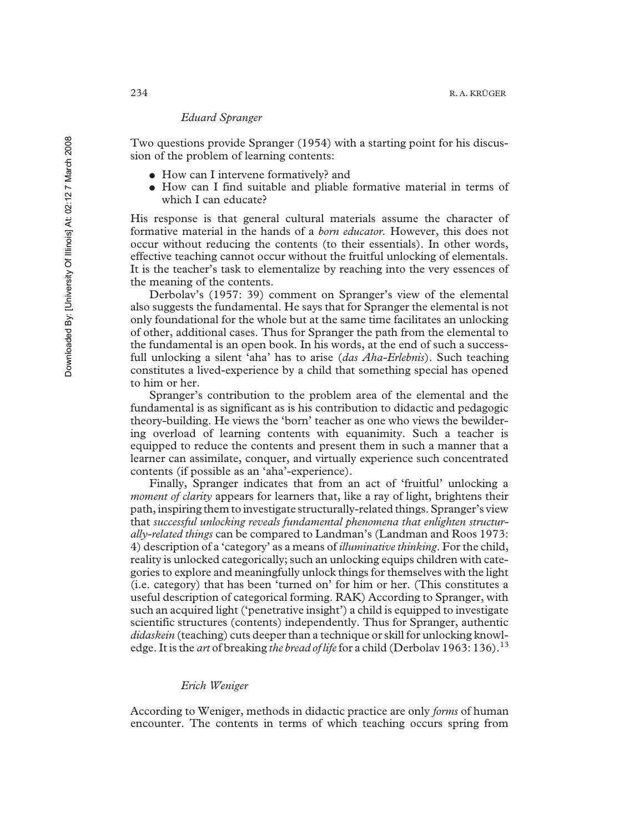### *Eduard Spranger*

Two questions provide Spranger (1954) with a starting point for his discussion of the problem of learning contents:

- How can I intervene formatively? and
- ! How can I find suitable and pliable formative material in terms of which I can educate?

His response is that general cultural materials assume the character of formative material in the hands of a *born educator.* However, this does not occur without reducing the contents (to their essentials). In other words, effective teaching cannot occur without the fruitful unlocking of elementals. It is the teacher's task to elementalize by reaching into the very essences of the meaning of the contents.

Derbolav's (1957: 39) comment on Spranger's view of the elemental also suggests the fundamental. He says that for Spranger the elemental is not only foundational for the whole but at the same time facilitates an unlocking of other, additional cases. Thus for Spranger the path from the elemental to the fundamental is an open book. In his words, at the end of such a successfull unlocking a silent 'aha' has to arise (*das Aha-Erlebnis*). Such teaching constitutes a lived-experience by a child that something special has opened to him or her.

Spranger's contribution to the problem area of the elemental and the fundamental is as significant as is his contribution to didactic and pedagogic theory-building. He views the 'born' teacher as one who views the bewildering overload of learning contents with equanimity. Such a teacher is equipped to reduce the contents and present them in such a manner that a learner can assimilate, conquer, and virtually experience such concentrated contents (if possible as an 'aha'-experience).

Finally, Spranger indicates that from an act of 'fruitful' unlocking a *moment of clarity* appears for learners that, like a ray of light, brightens their path, inspiring them to investigate structurally-related things. Spranger's view that *successful unlocking reveals fundamental phenomena that enlighten structurally-related things* can be compared to Landman's (Landman and Roos 1973: 4) description of a 'category' as a means of *illuminative thinking*. For the child, reality is unlocked categorically; such an unlocking equips children with categories to explore and meaningfully unlock things for themselves with the light (i.e. category) that has been 'turned on' for him or her. (This constitutes a useful description of categorical forming. RAK) According to Spranger, with such an acquired light ('penetrative insight') a child is equipped to investigate scientific structures (contents) independently. Thus for Spranger, authentic *didaskein* (teaching) cuts deeper than a technique or skill for unlocking knowledge. It is the *art* of breaking *the bread of life* for a child (Derbolav 1963: 136).<sup>13</sup>

#### *Erich Weniger*

According to Weniger, methods in didactic practice are only *forms* of human encounter. The contents in terms of which teaching occurs spring from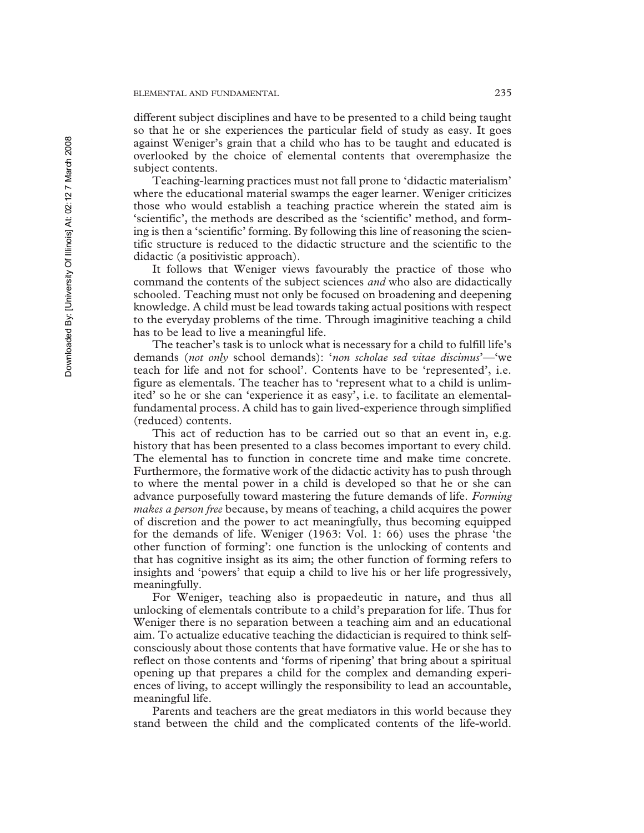different subject disciplines and have to be presented to a child being taught so that he or she experiences the particular field of study as easy. It goes against Weniger's grain that a child who has to be taught and educated is overlooked by the choice of elemental contents that overemphasize the subject contents.

Teaching-learning practices must not fall prone to 'didactic materialism' where the educational material swamps the eager learner. Weniger criticizes those who would establish a teaching practice wherein the stated aim is 'scientific', the methods are described as the 'scientific' method, and forming is then a 'scientific' forming. By following this line of reasoning the scientific structure is reduced to the didactic structure and the scientific to the didactic (a positivistic approach).

It follows that Weniger views favourably the practice of those who command the contents of the subject sciences *and* who also are didactically schooled. Teaching must not only be focused on broadening and deepening knowledge. A child must be lead towards taking actual positions with respect to the everyday problems of the time. Through imaginitive teaching a child has to be lead to live a meaningful life.

The teacher's task is to unlock what is necessary for a child to fulfill life's demands (*not only* school demands): '*non scholae sed vitae discimus*'—'we teach for life and not for school'. Contents have to be 'represented', i.e. figure as elementals. The teacher has to 'represent what to a child is unlimited' so he or she can 'experience it as easy', i.e. to facilitate an elementalfundamental process. A child has to gain lived-experience through simplified (reduced) contents.

This act of reduction has to be carried out so that an event in, e.g. history that has been presented to a class becomes important to every child. The elemental has to function in concrete time and make time concrete. Furthermore, the formative work of the didactic activity has to push through to where the mental power in a child is developed so that he or she can advance purposefully toward mastering the future demands of life. *Forming makes a person free* because, by means of teaching, a child acquires the power of discretion and the power to act meaningfully, thus becoming equipped for the demands of life. Weniger (1963: Vol. 1: 66) uses the phrase 'the other function of forming': one function is the unlocking of contents and that has cognitive insight as its aim; the other function of forming refers to insights and 'powers' that equip a child to live his or her life progressively, meaningfully.

For Weniger, teaching also is propaedeutic in nature, and thus all unlocking of elementals contribute to a child's preparation for life. Thus for Weniger there is no separation between a teaching aim and an educational aim. To actualize educative teaching the didactician is required to think selfconsciously about those contents that have formative value. He or she has to reflect on those contents and 'forms of ripening' that bring about a spiritual opening up that prepares a child for the complex and demanding experiences of living, to accept willingly the responsibility to lead an accountable, meaningful life.

Parents and teachers are the great mediators in this world because they stand between the child and the complicated contents of the life-world.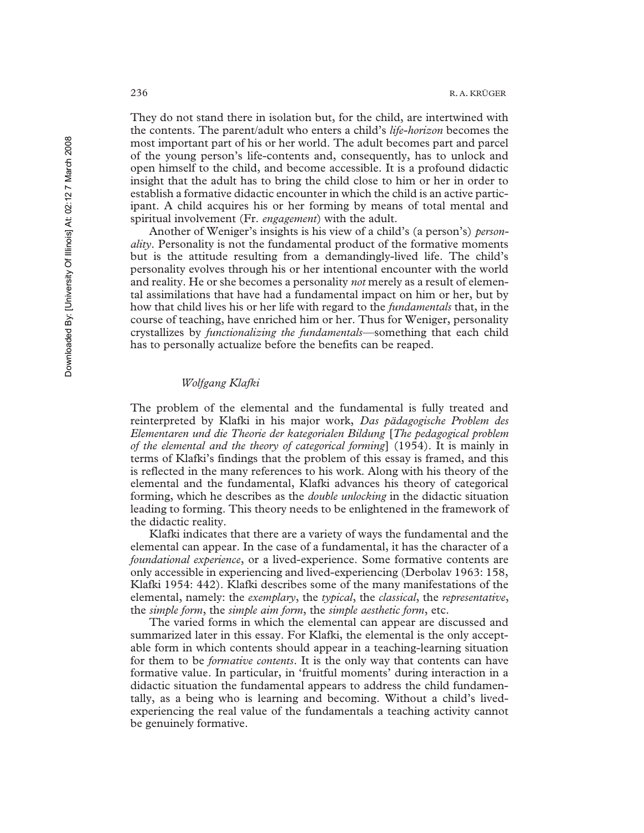They do not stand there in isolation but, for the child, are intertwined with the contents. The parent/adult who enters a child's *life-horizon* becomes the most important part of his or her world. The adult becomes part and parcel of the young person's life-contents and, consequently, has to unlock and open himself to the child, and become accessible. It is a profound didactic insight that the adult has to bring the child close to him or her in order to establish a formative didactic encounter in which the child is an active participant. A child acquires his or her forming by means of total mental and spiritual involvement (Fr. *engagement*) with the adult.

Another of Weniger's insights is his view of a child's (a person's) *personality*. Personality is not the fundamental product of the formative moments but is the attitude resulting from a demandingly-lived life. The child's personality evolves through his or her intentional encounter with the world and reality. He or she becomes a personality *not* merely as a result of elemental assimilations that have had a fundamental impact on him or her, but by how that child lives his or her life with regard to the *fundamentals* that, in the course of teaching, have enriched him or her. Thus for Weniger, personality crystallizes by *functionalizing the fundamentals*—something that each child has to personally actualize before the benefits can be reaped.

## *Wolfgang Klafki*

The problem of the elemental and the fundamental is fully treated and reinterpreted by Klafki in his major work, *Das pädagogische Problem des Elementaren und die Theorie der kategorialen Bildung* [*The pedagogical problem of the elemental and the theory of categorical forming*] (1954). It is mainly in terms of Klafki's findings that the problem of this essay is framed, and this is reflected in the many references to his work. Along with his theory of the elemental and the fundamental, Klafki advances his theory of categorical forming, which he describes as the *double unlocking* in the didactic situation leading to forming. This theory needs to be enlightened in the framework of the didactic reality.

Klafki indicates that there are a variety of ways the fundamental and the elemental can appear. In the case of a fundamental, it has the character of a *foundational experience*, or a lived-experience. Some formative contents are only accessible in experiencing and lived-experiencing (Derbolav 1963: 158, Klafki 1954: 442). Klafki describes some of the many manifestations of the elemental, namely: the *exemplary*, the *typical*, the *classical*, the *representative*, the *simple form*, the *simple aim form*, the *simple aesthetic form*, etc.

The varied forms in which the elemental can appear are discussed and summarized later in this essay. For Klafki, the elemental is the only acceptable form in which contents should appear in a teaching-learning situation for them to be *formative contents*. It is the only way that contents can have formative value. In particular, in 'fruitful moments' during interaction in a didactic situation the fundamental appears to address the child fundamentally, as a being who is learning and becoming. Without a child's livedexperiencing the real value of the fundamentals a teaching activity cannot be genuinely formative.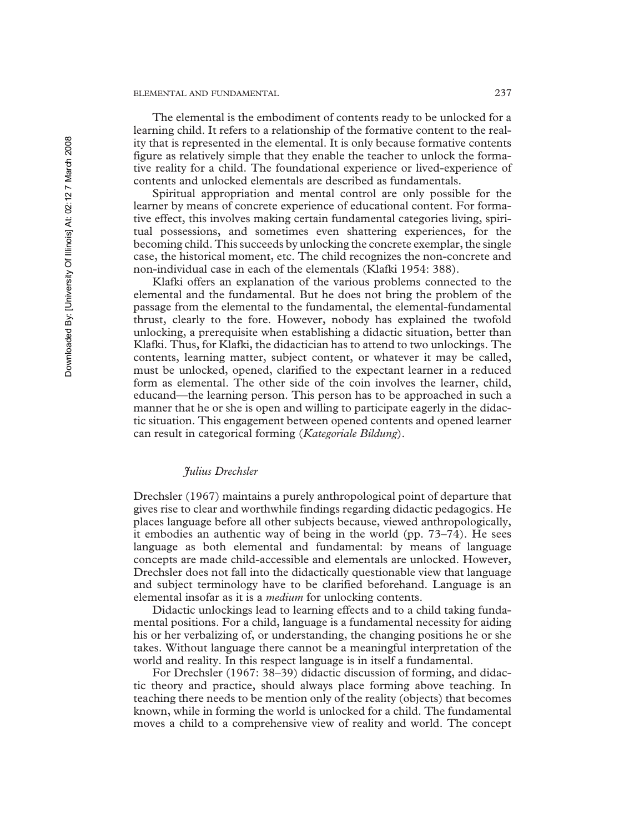#### ELEMENTAL AND FUNDAMENTAL 237

The elemental is the embodiment of contents ready to be unlocked for a learning child. It refers to a relationship of the formative content to the reality that is represented in the elemental. It is only because formative contents figure as relatively simple that they enable the teacher to unlock the formative reality for a child. The foundational experience or lived-experience of contents and unlocked elementals are described as fundamentals.

Spiritual appropriation and mental control are only possible for the learner by means of concrete experience of educational content. For formative effect, this involves making certain fundamental categories living, spiritual possessions, and sometimes even shattering experiences, for the becoming child. This succeeds by unlocking the concrete exemplar, the single case, the historical moment, etc. The child recognizes the non-concrete and non-individual case in each of the elementals (Klafki 1954: 388).

Klafki offers an explanation of the various problems connected to the elemental and the fundamental. But he does not bring the problem of the passage from the elemental to the fundamental, the elemental-fundamental thrust, clearly to the fore. However, nobody has explained the twofold unlocking, a prerequisite when establishing a didactic situation, better than Klafki. Thus, for Klafki, the didactician has to attend to two unlockings. The contents, learning matter, subject content, or whatever it may be called, must be unlocked, opened, clarified to the expectant learner in a reduced form as elemental. The other side of the coin involves the learner, child, educand—the learning person. This person has to be approached in such a manner that he or she is open and willing to participate eagerly in the didactic situation. This engagement between opened contents and opened learner can result in categorical forming (*Kategoriale Bildung*).

## *Julius Drechsler*

Drechsler (1967) maintains a purely anthropological point of departure that gives rise to clear and worthwhile findings regarding didactic pedagogics. He places language before all other subjects because, viewed anthropologically, it embodies an authentic way of being in the world (pp. 73–74). He sees language as both elemental and fundamental: by means of language concepts are made child-accessible and elementals are unlocked. However, Drechsler does not fall into the didactically questionable view that language and subject terminology have to be clarified beforehand. Language is an elemental insofar as it is a *medium* for unlocking contents.

Didactic unlockings lead to learning effects and to a child taking fundamental positions. For a child, language is a fundamental necessity for aiding his or her verbalizing of, or understanding, the changing positions he or she takes. Without language there cannot be a meaningful interpretation of the world and reality. In this respect language is in itself a fundamental.

For Drechsler (1967: 38–39) didactic discussion of forming, and didactic theory and practice, should always place forming above teaching. In teaching there needs to be mention only of the reality (objects) that becomes known, while in forming the world is unlocked for a child. The fundamental moves a child to a comprehensive view of reality and world. The concept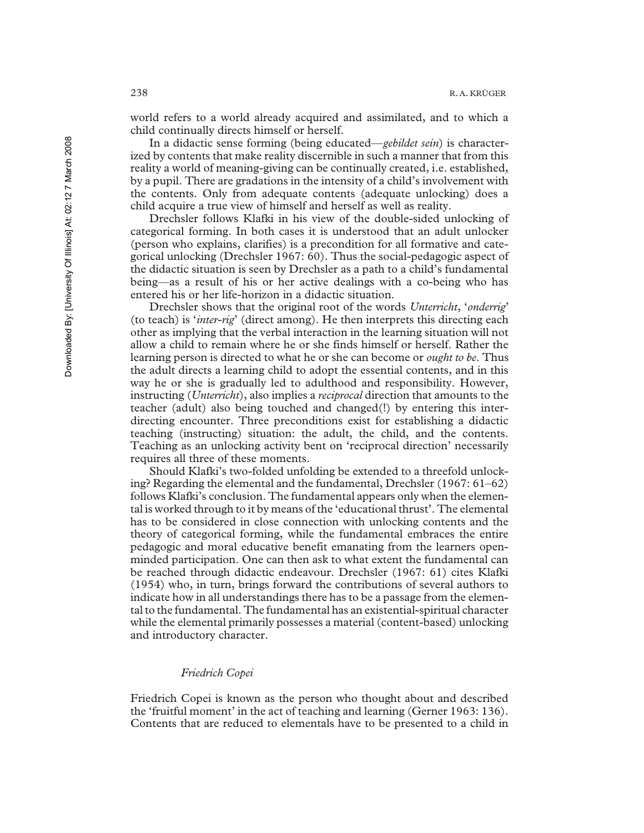world refers to a world already acquired and assimilated, and to which a child continually directs himself or herself.

In a didactic sense forming (being educated—*gebildet sein*) is characterized by contents that make reality discernible in such a manner that from this reality a world of meaning-giving can be continually created, i.e. established, by a pupil. There are gradations in the intensity of a child's involvement with the contents. Only from adequate contents (adequate unlocking) does a child acquire a true view of himself and herself as well as reality.

Drechsler follows Klafki in his view of the double-sided unlocking of categorical forming. In both cases it is understood that an adult unlocker (person who explains, clarifies) is a precondition for all formative and categorical unlocking (Drechsler 1967: 60). Thus the social-pedagogic aspect of the didactic situation is seen by Drechsler as a path to a child's fundamental being—as a result of his or her active dealings with a co-being who has entered his or her life-horizon in a didactic situation.

Drechsler shows that the original root of the words *Unterricht*, '*onderrig*' (to teach) is '*inter-rig*' (direct among). He then interprets this directing each other as implying that the verbal interaction in the learning situation will not allow a child to remain where he or she finds himself or herself. Rather the learning person is directed to what he or she can become or *ought to be*. Thus the adult directs a learning child to adopt the essential contents, and in this way he or she is gradually led to adulthood and responsibility. However, instructing (*Unterricht*), also implies a *reciprocal* direction that amounts to the teacher (adult) also being touched and changed(!) by entering this interdirecting encounter. Three preconditions exist for establishing a didactic teaching (instructing) situation: the adult, the child, and the contents. Teaching as an unlocking activity bent on 'reciprocal direction' necessarily requires all three of these moments.

Should Klafki's two-folded unfolding be extended to a threefold unlocking? Regarding the elemental and the fundamental, Drechsler (1967: 61–62) follows Klafki's conclusion. The fundamental appears only when the elemental is worked through to it by means of the 'educational thrust'. The elemental has to be considered in close connection with unlocking contents and the theory of categorical forming, while the fundamental embraces the entire pedagogic and moral educative benefit emanating from the learners openminded participation. One can then ask to what extent the fundamental can be reached through didactic endeavour. Drechsler (1967: 61) cites Klafki (1954) who, in turn, brings forward the contributions of several authors to indicate how in all understandings there has to be a passage from the elemental to the fundamental. The fundamental has an existential-spiritual character while the elemental primarily possesses a material (content-based) unlocking and introductory character.

## *Friedrich Copei*

Friedrich Copei is known as the person who thought about and described the 'fruitful moment' in the act of teaching and learning (Gerner 1963: 136). Contents that are reduced to elementals have to be presented to a child in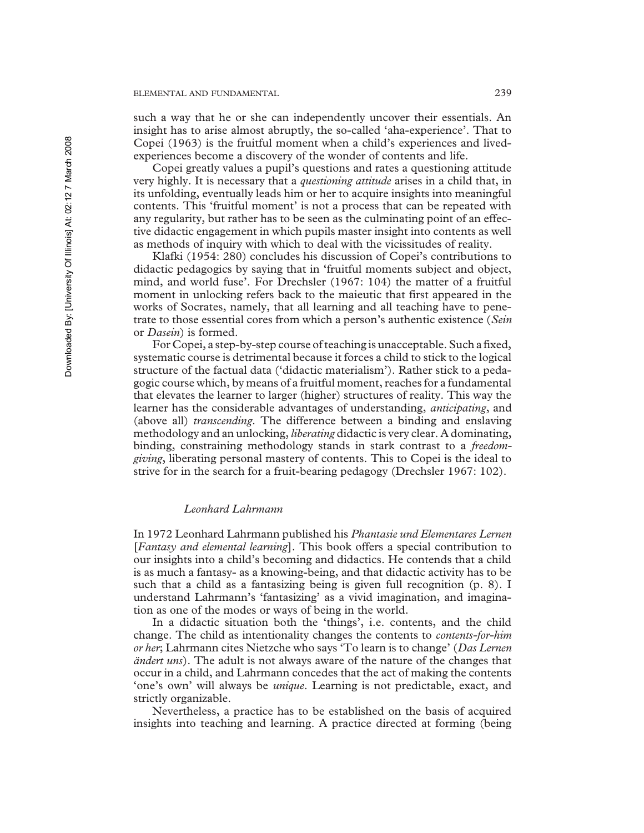such a way that he or she can independently uncover their essentials. An insight has to arise almost abruptly, the so-called 'aha-experience'. That to Copei (1963) is the fruitful moment when a child's experiences and livedexperiences become a discovery of the wonder of contents and life.

Copei greatly values a pupil's questions and rates a questioning attitude very highly. It is necessary that a *questioning attitude* arises in a child that, in its unfolding, eventually leads him or her to acquire insights into meaningful contents. This 'fruitful moment' is not a process that can be repeated with any regularity, but rather has to be seen as the culminating point of an effective didactic engagement in which pupils master insight into contents as well as methods of inquiry with which to deal with the vicissitudes of reality.

Klafki (1954: 280) concludes his discussion of Copei's contributions to didactic pedagogics by saying that in 'fruitful moments subject and object, mind, and world fuse'. For Drechsler (1967: 104) the matter of a fruitful moment in unlocking refers back to the maieutic that first appeared in the works of Socrates, namely, that all learning and all teaching have to penetrate to those essential cores from which a person's authentic existence (*Sein* or *Dasein*) is formed.

For Copei, a step-by-step course of teaching is unacceptable. Such a fixed, systematic course is detrimental because it forces a child to stick to the logical structure of the factual data ('didactic materialism'). Rather stick to a pedagogic course which, by means of a fruitful moment, reaches for a fundamental that elevates the learner to larger (higher) structures of reality. This way the learner has the considerable advantages of understanding, *anticipating*, and (above all) *transcending*. The difference between a binding and enslaving methodology and an unlocking, *liberating* didactic is very clear. A dominating, binding, constraining methodology stands in stark contrast to a *freedomgiving*, liberating personal mastery of contents. This to Copei is the ideal to strive for in the search for a fruit-bearing pedagogy (Drechsler 1967: 102).

## *Leonhard Lahrmann*

In 1972 Leonhard Lahrmann published his *Phantasie und Elementares Lernen* [*Fantasy and elemental learning*]. This book offers a special contribution to our insights into a child's becoming and didactics. He contends that a child is as much a fantasy- as a knowing-being, and that didactic activity has to be such that a child as a fantasizing being is given full recognition (p. 8). I understand Lahrmann's 'fantasizing' as a vivid imagination, and imagination as one of the modes or ways of being in the world.

In a didactic situation both the 'things', i.e. contents, and the child change. The child as intentionality changes the contents to *contents-for-him or her*; Lahrmann cites Nietzche who says 'To learn is to change' (*Das Lernen ändert uns*). The adult is not always aware of the nature of the changes that occur in a child, and Lahrmann concedes that the act of making the contents 'one's own' will always be *unique*. Learning is not predictable, exact, and strictly organizable.

Nevertheless, a practice has to be established on the basis of acquired insights into teaching and learning. A practice directed at forming (being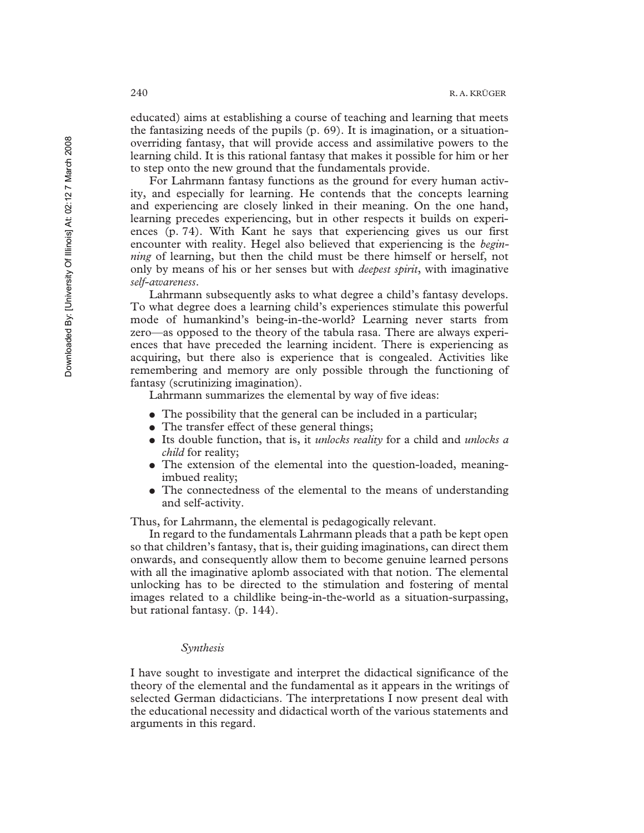educated) aims at establishing a course of teaching and learning that meets the fantasizing needs of the pupils (p. 69). It is imagination, or a situationoverriding fantasy, that will provide access and assimilative powers to the learning child. It is this rational fantasy that makes it possible for him or her to step onto the new ground that the fundamentals provide.

For Lahrmann fantasy functions as the ground for every human activity, and especially for learning. He contends that the concepts learning and experiencing are closely linked in their meaning. On the one hand, learning precedes experiencing, but in other respects it builds on experiences (p. 74). With Kant he says that experiencing gives us our first encounter with reality. Hegel also believed that experiencing is the *beginning* of learning, but then the child must be there himself or herself, not only by means of his or her senses but with *deepest spirit*, with imaginative *self-awareness*.

Lahrmann subsequently asks to what degree a child's fantasy develops. To what degree does a learning child's experiences stimulate this powerful mode of humankind's being-in-the-world? Learning never starts from zero—as opposed to the theory of the tabula rasa. There are always experiences that have preceded the learning incident. There is experiencing as acquiring, but there also is experience that is congealed. Activities like remembering and memory are only possible through the functioning of fantasy (scrutinizing imagination).

Lahrmann summarizes the elemental by way of five ideas:

- The possibility that the general can be included in a particular;
- The transfer effect of these general things;
- ! Its double function, that is, it *unlocks reality* for a child and *unlocks a child* for reality;
- The extension of the elemental into the question-loaded, meaningimbued reality;
- The connectedness of the elemental to the means of understanding and self-activity.

Thus, for Lahrmann, the elemental is pedagogically relevant.

In regard to the fundamentals Lahrmann pleads that a path be kept open so that children's fantasy, that is, their guiding imaginations, can direct them onwards, and consequently allow them to become genuine learned persons with all the imaginative aplomb associated with that notion. The elemental unlocking has to be directed to the stimulation and fostering of mental images related to a childlike being-in-the-world as a situation-surpassing, but rational fantasy. (p. 144).

## *Synthesis*

I have sought to investigate and interpret the didactical significance of the theory of the elemental and the fundamental as it appears in the writings of selected German didacticians. The interpretations I now present deal with the educational necessity and didactical worth of the various statements and arguments in this regard.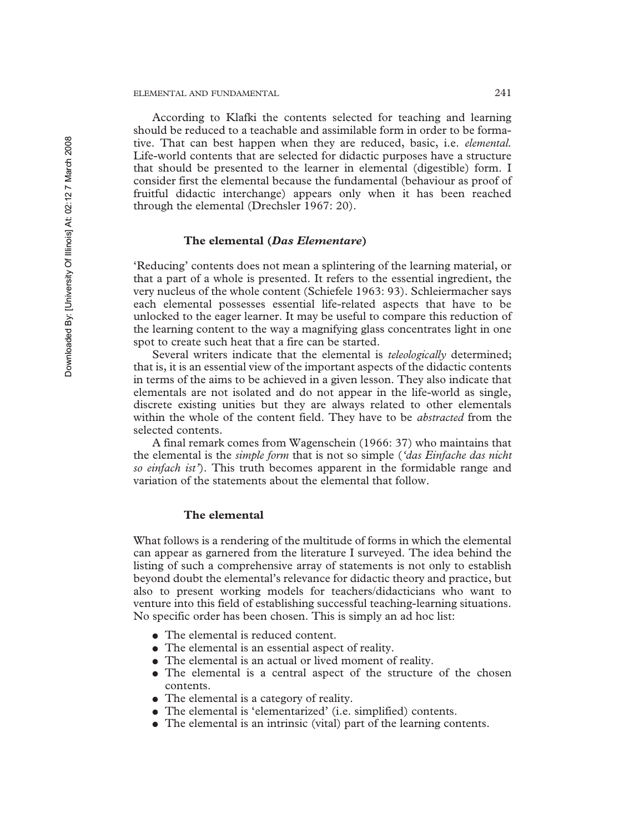According to Klafki the contents selected for teaching and learning should be reduced to a teachable and assimilable form in order to be formative. That can best happen when they are reduced, basic, i.e. *elemental.* Life-world contents that are selected for didactic purposes have a structure that should be presented to the learner in elemental (digestible) form. I consider first the elemental because the fundamental (behaviour as proof of fruitful didactic interchange) appears only when it has been reached through the elemental (Drechsler 1967: 20).

## **The elemental (***Das Elementare***)**

'Reducing' contents does not mean a splintering of the learning material, or that a part of a whole is presented. It refers to the essential ingredient, the very nucleus of the whole content (Schiefele 1963: 93). Schleiermacher says each elemental possesses essential life-related aspects that have to be unlocked to the eager learner. It may be useful to compare this reduction of the learning content to the way a magnifying glass concentrates light in one spot to create such heat that a fire can be started.

Several writers indicate that the elemental is *teleologically* determined; that is, it is an essential view of the important aspects of the didactic contents in terms of the aims to be achieved in a given lesson. They also indicate that elementals are not isolated and do not appear in the life-world as single, discrete existing unities but they are always related to other elementals within the whole of the content field. They have to be *abstracted* from the selected contents.

A final remark comes from Wagenschein (1966: 37) who maintains that the elemental is the *simple form* that is not so simple (*'das Einfache das nicht so einfach ist'*). This truth becomes apparent in the formidable range and variation of the statements about the elemental that follow.

## **The elemental**

What follows is a rendering of the multitude of forms in which the elemental can appear as garnered from the literature I surveyed. The idea behind the listing of such a comprehensive array of statements is not only to establish beyond doubt the elemental's relevance for didactic theory and practice, but also to present working models for teachers/didacticians who want to venture into this field of establishing successful teaching-learning situations. No specific order has been chosen. This is simply an ad hoc list:

- The elemental is reduced content.
- The elemental is an essential aspect of reality.
- The elemental is an actual or lived moment of reality.
- The elemental is a central aspect of the structure of the chosen contents.
- The elemental is a category of reality.
- ! The elemental is 'elementarized' (i.e. simplified) contents.
- ! The elemental is an intrinsic (vital) part of the learning contents.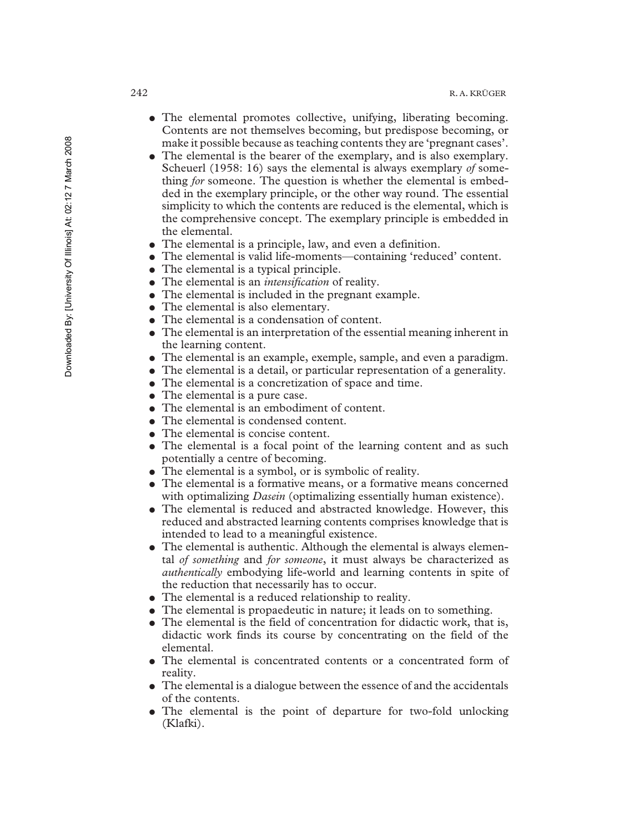- The elemental promotes collective, unifying, liberating becoming. Contents are not themselves becoming, but predispose becoming, or make it possible because as teaching contents they are 'pregnant cases'.
- ! The elemental is the bearer of the exemplary, and is also exemplary. Scheuerl (1958: 16) says the elemental is always exemplary *of* something *for* someone. The question is whether the elemental is embedded in the exemplary principle, or the other way round. The essential simplicity to which the contents are reduced is the elemental, which is the comprehensive concept. The exemplary principle is embedded in the elemental.
- The elemental is a principle, law, and even a definition.
- ! The elemental is valid life-moments—containing 'reduced' content.
- The elemental is a typical principle.
- ! The elemental is an *intensification* of reality.
- The elemental is included in the pregnant example.
- The elemental is also elementary.
- The elemental is a condensation of content.
- The elemental is an interpretation of the essential meaning inherent in the learning content.
- The elemental is an example, exemple, sample, and even a paradigm.
- ! The elemental is a detail, or particular representation of a generality.
- The elemental is a concretization of space and time.
- The elemental is a pure case.
- The elemental is an embodiment of content.
- The elemental is condensed content.
- The elemental is concise content.
- The elemental is a focal point of the learning content and as such potentially a centre of becoming.
- The elemental is a symbol, or is symbolic of reality.
- The elemental is a formative means, or a formative means concerned with optimalizing *Dasein* (optimalizing essentially human existence).
- ! The elemental is reduced and abstracted knowledge. However, this reduced and abstracted learning contents comprises knowledge that is intended to lead to a meaningful existence.
- The elemental is authentic. Although the elemental is always elemental *of something* and *for someone*, it must always be characterized as *authentically* embodying life-world and learning contents in spite of the reduction that necessarily has to occur.
- The elemental is a reduced relationship to reality.
- The elemental is propaedeutic in nature; it leads on to something.
- The elemental is the field of concentration for didactic work, that is, didactic work finds its course by concentrating on the field of the elemental.
- The elemental is concentrated contents or a concentrated form of reality.
- ! The elemental is a dialogue between the essence of and the accidentals of the contents.
- The elemental is the point of departure for two-fold unlocking (Klafki).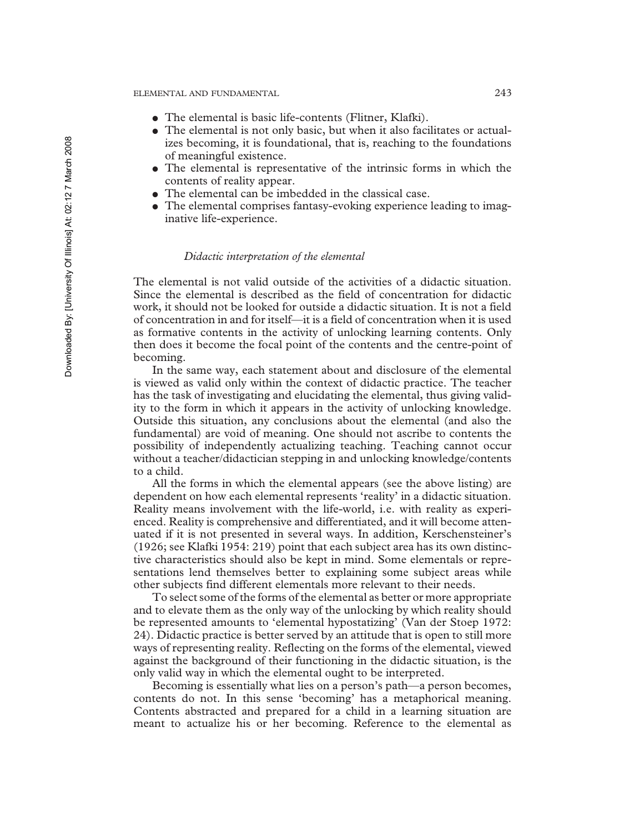- ! The elemental is basic life-contents (Flitner, Klafki).
- The elemental is not only basic, but when it also facilitates or actualizes becoming, it is foundational, that is, reaching to the foundations of meaningful existence.
- ! The elemental is representative of the intrinsic forms in which the contents of reality appear.
- ! The elemental can be imbedded in the classical case.
- The elemental comprises fantasy-evoking experience leading to imaginative life-experience.

## *Didactic interpretation of the elemental*

The elemental is not valid outside of the activities of a didactic situation. Since the elemental is described as the field of concentration for didactic work, it should not be looked for outside a didactic situation. It is not a field of concentration in and for itself—it is a field of concentration when it is used as formative contents in the activity of unlocking learning contents. Only then does it become the focal point of the contents and the centre-point of becoming.

In the same way, each statement about and disclosure of the elemental is viewed as valid only within the context of didactic practice. The teacher has the task of investigating and elucidating the elemental, thus giving validity to the form in which it appears in the activity of unlocking knowledge. Outside this situation, any conclusions about the elemental (and also the fundamental) are void of meaning. One should not ascribe to contents the possibility of independently actualizing teaching. Teaching cannot occur without a teacher/didactician stepping in and unlocking knowledge/contents to a child.

All the forms in which the elemental appears (see the above listing) are dependent on how each elemental represents 'reality' in a didactic situation. Reality means involvement with the life-world, i.e. with reality as experienced. Reality is comprehensive and differentiated, and it will become attenuated if it is not presented in several ways. In addition, Kerschensteiner's (1926; see Klafki 1954: 219) point that each subject area has its own distinctive characteristics should also be kept in mind. Some elementals or representations lend themselves better to explaining some subject areas while other subjects find different elementals more relevant to their needs.

To select some of the forms of the elemental as better or more appropriate and to elevate them as the only way of the unlocking by which reality should be represented amounts to 'elemental hypostatizing' (Van der Stoep 1972: 24). Didactic practice is better served by an attitude that is open to still more ways of representing reality. Reflecting on the forms of the elemental, viewed against the background of their functioning in the didactic situation, is the only valid way in which the elemental ought to be interpreted.

Becoming is essentially what lies on a person's path—a person becomes, contents do not. In this sense 'becoming' has a metaphorical meaning. Contents abstracted and prepared for a child in a learning situation are meant to actualize his or her becoming. Reference to the elemental as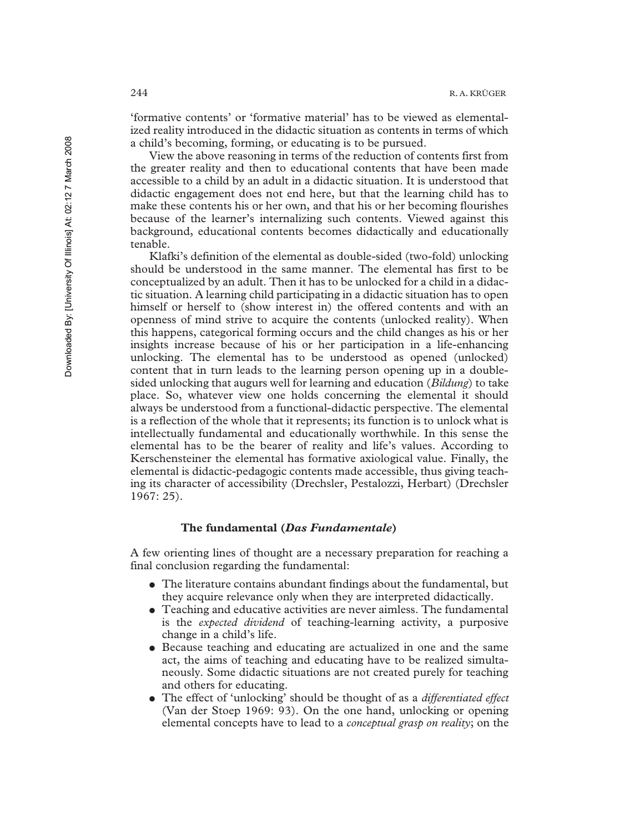'formative contents' or 'formative material' has to be viewed as elementalized reality introduced in the didactic situation as contents in terms of which a child's becoming, forming, or educating is to be pursued.

View the above reasoning in terms of the reduction of contents first from the greater reality and then to educational contents that have been made accessible to a child by an adult in a didactic situation. It is understood that didactic engagement does not end here, but that the learning child has to make these contents his or her own, and that his or her becoming flourishes because of the learner's internalizing such contents. Viewed against this background, educational contents becomes didactically and educationally tenable.

Klafki's definition of the elemental as double-sided (two-fold) unlocking should be understood in the same manner. The elemental has first to be conceptualized by an adult. Then it has to be unlocked for a child in a didactic situation. A learning child participating in a didactic situation has to open himself or herself to (show interest in) the offered contents and with an openness of mind strive to acquire the contents (unlocked reality). When this happens, categorical forming occurs and the child changes as his or her insights increase because of his or her participation in a life-enhancing unlocking. The elemental has to be understood as opened (unlocked) content that in turn leads to the learning person opening up in a doublesided unlocking that augurs well for learning and education (*Bildung*) to take place. So, whatever view one holds concerning the elemental it should always be understood from a functional-didactic perspective. The elemental is a reflection of the whole that it represents; its function is to unlock what is intellectually fundamental and educationally worthwhile. In this sense the elemental has to be the bearer of reality and life's values. According to Kerschensteiner the elemental has formative axiological value. Finally, the elemental is didactic-pedagogic contents made accessible, thus giving teaching its character of accessibility (Drechsler, Pestalozzi, Herbart) (Drechsler 1967: 25).

## **The fundamental (***Das Fundamentale***)**

A few orienting lines of thought are a necessary preparation for reaching a final conclusion regarding the fundamental:

- ! The literature contains abundant findings about the fundamental, but they acquire relevance only when they are interpreted didactically.
- Teaching and educative activities are never aimless. The fundamental is the *expected dividend* of teaching-learning activity, a purposive change in a child's life.
- Because teaching and educating are actualized in one and the same act, the aims of teaching and educating have to be realized simultaneously. Some didactic situations are not created purely for teaching and others for educating.
- ! The effect of 'unlocking' should be thought of as a *differentiated effect* (Van der Stoep 1969: 93). On the one hand, unlocking or opening elemental concepts have to lead to a *conceptual grasp on reality*; on the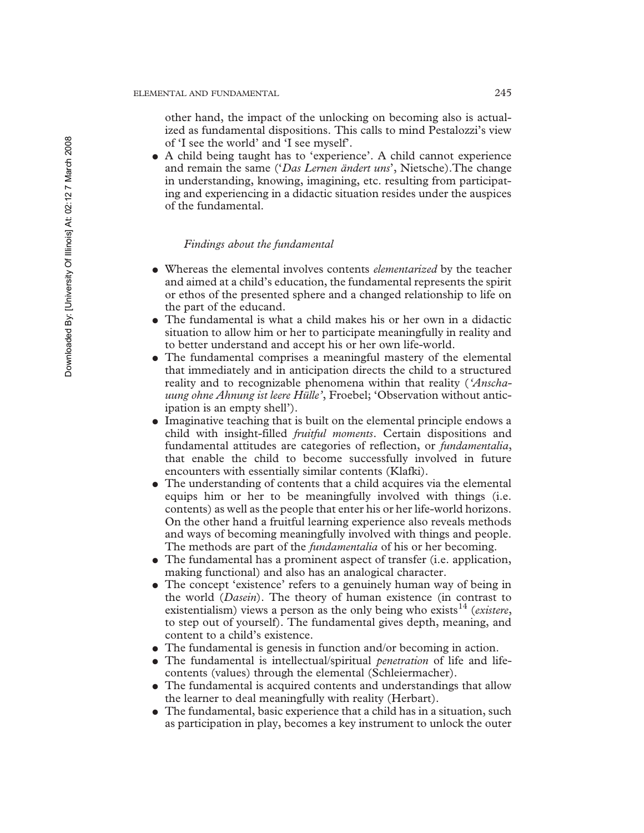other hand, the impact of the unlocking on becoming also is actualized as fundamental dispositions. This calls to mind Pestalozzi's view of 'I see the world' and 'I see myself'.

! A child being taught has to 'experience'. A child cannot experience and remain the same ('*Das Lernen ändert uns*', Nietsche).The change in understanding, knowing, imagining, etc. resulting from participating and experiencing in a didactic situation resides under the auspices of the fundamental.

## *Findings about the fundamental*

- ! Whereas the elemental involves contents *elementarized* by the teacher and aimed at a child's education, the fundamental represents the spirit or ethos of the presented sphere and a changed relationship to life on the part of the educand.
- ! The fundamental is what a child makes his or her own in a didactic situation to allow him or her to participate meaningfully in reality and to better understand and accept his or her own life-world.
- ! The fundamental comprises a meaningful mastery of the elemental that immediately and in anticipation directs the child to a structured reality and to recognizable phenomena within that reality (*'Anschauung ohne Ahnung ist leere Hülle'*, Froebel; 'Observation without anticipation is an empty shell').
- ! Imaginative teaching that is built on the elemental principle endows a child with insight-filled *fruitful moments*. Certain dispositions and fundamental attitudes are categories of reflection, or *fundamentalia*, that enable the child to become successfully involved in future encounters with essentially similar contents (Klafki).
- The understanding of contents that a child acquires via the elemental equips him or her to be meaningfully involved with things (i.e. contents) as well as the people that enter his or her life-world horizons. On the other hand a fruitful learning experience also reveals methods and ways of becoming meaningfully involved with things and people. The methods are part of the *fundamentalia* of his or her becoming.
- ! The fundamental has a prominent aspect of transfer (i.e. application, making functional) and also has an analogical character.
- The concept 'existence' refers to a genuinely human way of being in the world (*Dasein*). The theory of human existence (in contrast to existentialism) views a person as the only being who exists<sup>14</sup> (*existere*, to step out of yourself). The fundamental gives depth, meaning, and content to a child's existence.
- ! The fundamental is genesis in function and/or becoming in action.
- ! The fundamental is intellectual/spiritual *penetration* of life and lifecontents (values) through the elemental (Schleiermacher).
- The fundamental is acquired contents and understandings that allow the learner to deal meaningfully with reality (Herbart).
- The fundamental, basic experience that a child has in a situation, such as participation in play, becomes a key instrument to unlock the outer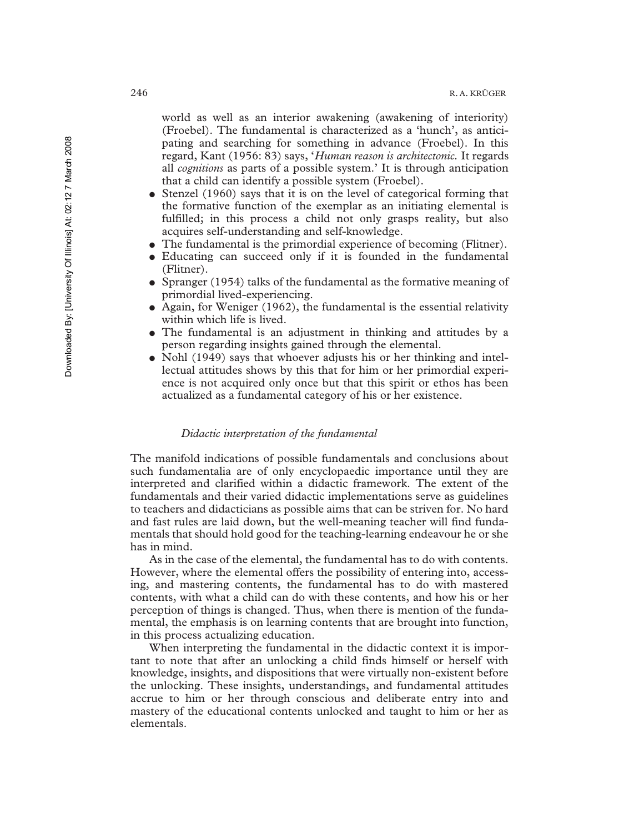world as well as an interior awakening (awakening of interiority) (Froebel). The fundamental is characterized as a 'hunch', as anticipating and searching for something in advance (Froebel). In this regard, Kant (1956: 83) says, '*Human reason is architectonic.* It regards all *cognitions* as parts of a possible system.' It is through anticipation that a child can identify a possible system (Froebel).

- Stenzel (1960) says that it is on the level of categorical forming that the formative function of the exemplar as an initiating elemental is fulfilled; in this process a child not only grasps reality, but also acquires self-understanding and self-knowledge.
- The fundamental is the primordial experience of becoming (Flitner).
- ! Educating can succeed only if it is founded in the fundamental (Flitner).
- Spranger (1954) talks of the fundamental as the formative meaning of primordial lived-experiencing.
- ! Again, for Weniger (1962), the fundamental is the essential relativity within which life is lived.
- The fundamental is an adjustment in thinking and attitudes by a person regarding insights gained through the elemental.
- Nohl (1949) says that whoever adjusts his or her thinking and intellectual attitudes shows by this that for him or her primordial experience is not acquired only once but that this spirit or ethos has been actualized as a fundamental category of his or her existence.

## *Didactic interpretation of the fundamental*

The manifold indications of possible fundamentals and conclusions about such fundamentalia are of only encyclopaedic importance until they are interpreted and clarified within a didactic framework. The extent of the fundamentals and their varied didactic implementations serve as guidelines to teachers and didacticians as possible aims that can be striven for. No hard and fast rules are laid down, but the well-meaning teacher will find fundamentals that should hold good for the teaching-learning endeavour he or she has in mind.

As in the case of the elemental, the fundamental has to do with contents. However, where the elemental offers the possibility of entering into, accessing, and mastering contents, the fundamental has to do with mastered contents, with what a child can do with these contents, and how his or her perception of things is changed. Thus, when there is mention of the fundamental, the emphasis is on learning contents that are brought into function, in this process actualizing education.

When interpreting the fundamental in the didactic context it is important to note that after an unlocking a child finds himself or herself with knowledge, insights, and dispositions that were virtually non-existent before the unlocking. These insights, understandings, and fundamental attitudes accrue to him or her through conscious and deliberate entry into and mastery of the educational contents unlocked and taught to him or her as elementals.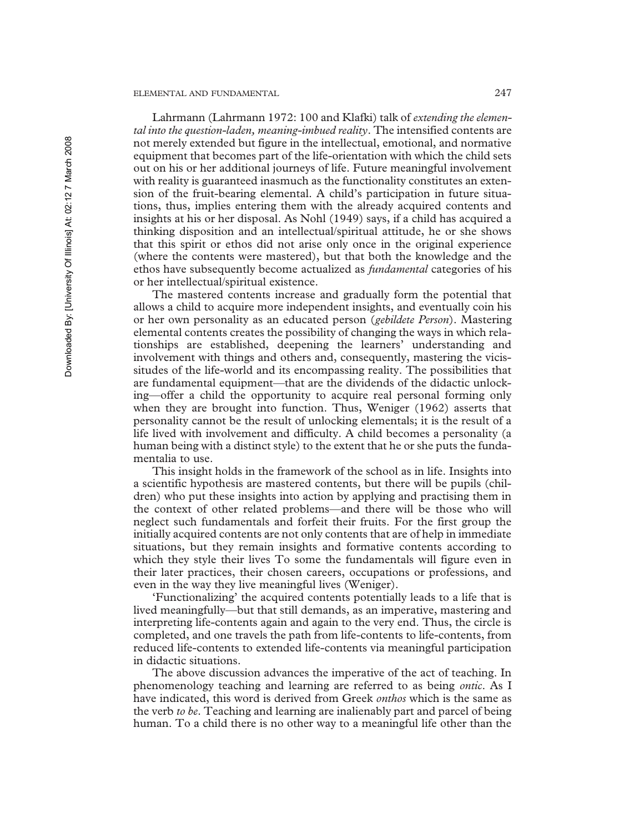## ELEMENTAL AND FUNDAMENTAL 247

Lahrmann (Lahrmann 1972: 100 and Klafki) talk of *extending the elemental into the question-laden, meaning-imbued reality*. The intensified contents are not merely extended but figure in the intellectual, emotional, and normative equipment that becomes part of the life-orientation with which the child sets out on his or her additional journeys of life. Future meaningful involvement with reality is guaranteed inasmuch as the functionality constitutes an extension of the fruit-bearing elemental. A child's participation in future situations, thus, implies entering them with the already acquired contents and insights at his or her disposal. As Nohl (1949) says, if a child has acquired a thinking disposition and an intellectual/spiritual attitude, he or she shows that this spirit or ethos did not arise only once in the original experience (where the contents were mastered), but that both the knowledge and the ethos have subsequently become actualized as *fundamental* categories of his or her intellectual/spiritual existence.

The mastered contents increase and gradually form the potential that allows a child to acquire more independent insights, and eventually coin his or her own personality as an educated person (*gebildete Person*). Mastering elemental contents creates the possibility of changing the ways in which relationships are established, deepening the learners' understanding and involvement with things and others and, consequently, mastering the vicissitudes of the life-world and its encompassing reality. The possibilities that are fundamental equipment—that are the dividends of the didactic unlocking—offer a child the opportunity to acquire real personal forming only when they are brought into function. Thus, Weniger (1962) asserts that personality cannot be the result of unlocking elementals; it is the result of a life lived with involvement and difficulty. A child becomes a personality (a human being with a distinct style) to the extent that he or she puts the fundamentalia to use.

This insight holds in the framework of the school as in life. Insights into a scientific hypothesis are mastered contents, but there will be pupils (children) who put these insights into action by applying and practising them in the context of other related problems—and there will be those who will neglect such fundamentals and forfeit their fruits. For the first group the initially acquired contents are not only contents that are of help in immediate situations, but they remain insights and formative contents according to which they style their lives To some the fundamentals will figure even in their later practices, their chosen careers, occupations or professions, and even in the way they live meaningful lives (Weniger).

'Functionalizing' the acquired contents potentially leads to a life that is lived meaningfully—but that still demands, as an imperative, mastering and interpreting life-contents again and again to the very end. Thus, the circle is completed, and one travels the path from life-contents to life-contents, from reduced life-contents to extended life-contents via meaningful participation in didactic situations.

The above discussion advances the imperative of the act of teaching. In phenomenology teaching and learning are referred to as being *ontic*. As I have indicated, this word is derived from Greek *onthos* which is the same as the verb *to be*. Teaching and learning are inalienably part and parcel of being human. To a child there is no other way to a meaningful life other than the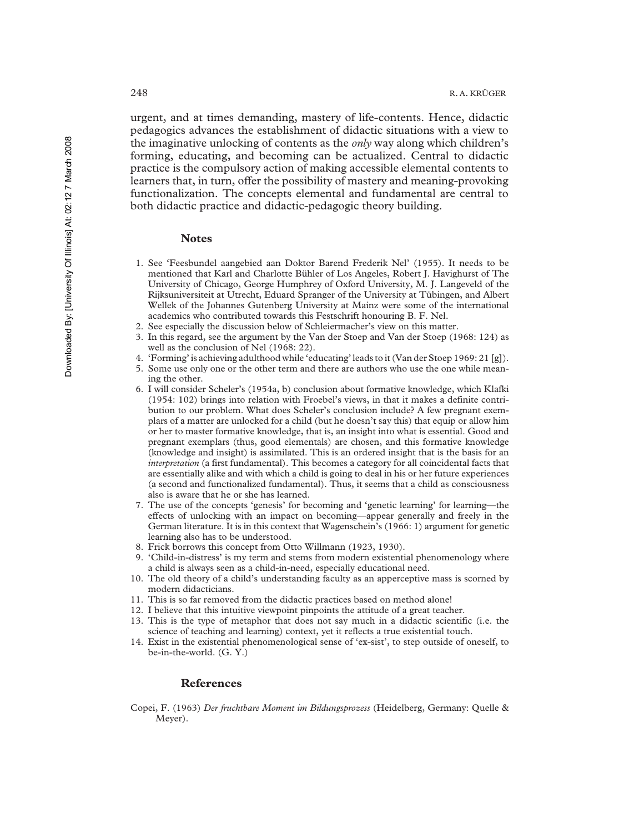urgent, and at times demanding, mastery of life-contents. Hence, didactic pedagogics advances the establishment of didactic situations with a view to the imaginative unlocking of contents as the *only* way along which children's forming, educating, and becoming can be actualized. Central to didactic practice is the compulsory action of making accessible elemental contents to learners that, in turn, offer the possibility of mastery and meaning-provoking functionalization. The concepts elemental and fundamental are central to both didactic practice and didactic-pedagogic theory building.

#### **Notes**

- 1. See 'Feesbundel aangebied aan Doktor Barend Frederik Nel' (1955). It needs to be mentioned that Karl and Charlotte Bühler of Los Angeles, Robert J. Havighurst of The University of Chicago, George Humphrey of Oxford University, M. J. Langeveld of the Rijksuniversiteit at Utrecht, Eduard Spranger of the University at Tübingen, and Albert Wellek of the Johannes Gutenberg University at Mainz were some of the international academics who contributed towards this Festschrift honouring B. F. Nel.
- 2. See especially the discussion below of Schleiermacher's view on this matter.
- 3. In this regard, see the argument by the Van der Stoep and Van der Stoep (1968: 124) as well as the conclusion of Nel (1968: 22).
- 4. 'Forming' is achieving adulthood while 'educating' leads to it (Van der Stoep 1969: 21 [g]).
- 5. Some use only one or the other term and there are authors who use the one while meaning the other.
- 6. I will consider Scheler's (1954a, b) conclusion about formative knowledge, which Klafki (1954: 102) brings into relation with Froebel's views, in that it makes a definite contribution to our problem. What does Scheler's conclusion include? A few pregnant exemplars of a matter are unlocked for a child (but he doesn't say this) that equip or allow him or her to master formative knowledge, that is, an insight into what is essential. Good and pregnant exemplars (thus, good elementals) are chosen, and this formative knowledge (knowledge and insight) is assimilated. This is an ordered insight that is the basis for an *interpretation* (a first fundamental). This becomes a category for all coincidental facts that are essentially alike and with which a child is going to deal in his or her future experiences (a second and functionalized fundamental). Thus, it seems that a child as consciousness also is aware that he or she has learned.
- 7. The use of the concepts 'genesis' for becoming and 'genetic learning' for learning—the effects of unlocking with an impact on becoming—appear generally and freely in the German literature. It is in this context that Wagenschein's (1966: 1) argument for genetic learning also has to be understood.
- 8. Frick borrows this concept from Otto Willmann (1923, 1930).
- 9. 'Child-in-distress' is my term and stems from modern existential phenomenology where a child is always seen as a child-in-need, especially educational need.
- 10. The old theory of a child's understanding faculty as an apperceptive mass is scorned by modern didacticians.
- 11. This is so far removed from the didactic practices based on method alone!
- 12. I believe that this intuitive viewpoint pinpoints the attitude of a great teacher.
- 13. This is the type of metaphor that does not say much in a didactic scientific (i.e. the science of teaching and learning) context, yet it reflects a true existential touch.
- 14. Exist in the existential phenomenological sense of 'ex-sist', to step outside of oneself, to be-in-the-world. (G. Y.)

#### **References**

Copei, F. (1963) *Der fruchtbare Moment im Bildungsprozess* (Heidelberg, Germany: Quelle & Meyer).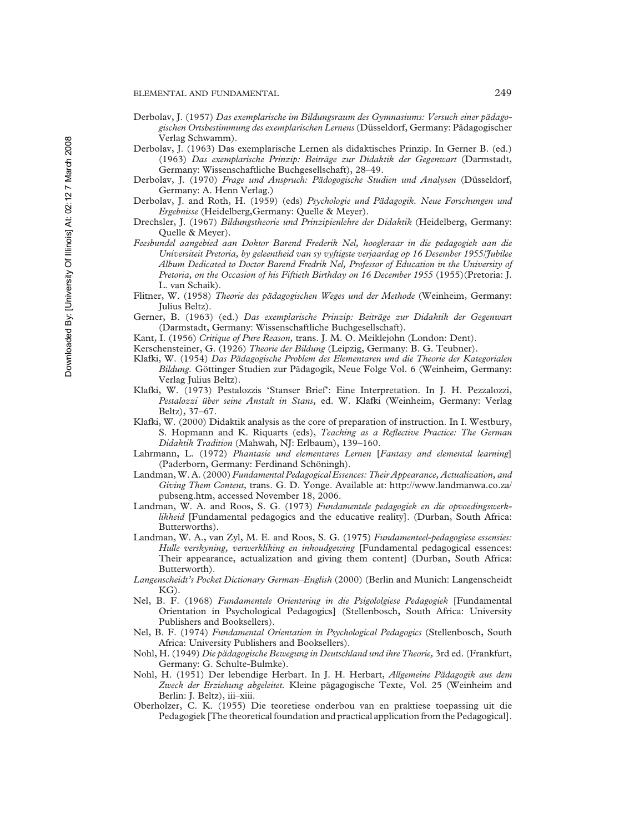- Derbolav, J. (1957) *Das exemplarische im Bildungsraum des Gymnasiums: Versuch einer pädagogischen Ortsbestimmung des exemplarischen Lernens* (Düsseldorf, Germany: Pädagogischer Verlag Schwamm).
- Derbolav, J. (1963) Das exemplarische Lernen als didaktisches Prinzip. In Gerner B. (ed.) (1963) *Das exemplarische Prinzip: Beiträge zur Didaktik der Gegenwart* (Darmstadt, Germany: Wissenschaftliche Buchgesellschaft), 28–49.
- Derbolav, J. (1970) *Frage und Anspruch: Pädogogische Studien und Analysen* (Düsseldorf, Germany: A. Henn Verlag.)
- Derbolav, J. and Roth, H. (1959) (eds) *Psychologie und Pädagogik. Neue Forschungen und Ergebnisse* (Heidelberg,Germany: Quelle & Meyer).
- Drechsler, J. (1967) *Bildungstheorie und Prinzipienlehre der Didaktik* (Heidelberg, Germany: Quelle & Meyer).
- *Feesbundel aangebied aan Doktor Barend Frederik Nel, hoogleraar in die pedagogiek aan die Universiteit Pretoria, by geleentheid van sy vyftigste verjaardag op 16 Desember 1955/Jubilee Album Dedicated to Doctor Barend Fredrik Nel, Professor of Education in the University of Pretoria, on the Occasion of his Fiftieth Birthday on 16 December 1955* (1955)(Pretoria: J. L. van Schaik).
- Flitner, W. (1958) *Theorie des pädagogischen Weges und der Methode* (Weinheim, Germany: Julius Beltz).
- Gerner, B. (1963) (ed.) *Das exemplarische Prinzip: Beiträge zur Didaktik der Gegenwart* (Darmstadt, Germany: Wissenschaftliche Buchgesellschaft).
- Kant, I. (1956) *Critique of Pure Reason,* trans. J. M. O. Meiklejohn (London: Dent).
- Kerschensteiner, G. (1926) *Theorie der Bildung* (Leipzig, Germany: B. G. Teubner).
- Klafki, W. (1954) *Das Pädagogische Problem des Elementaren und die Theorie der Kategorialen Bildung.* Göttinger Studien zur Pädagogik, Neue Folge Vol. 6 (Weinheim, Germany: Verlag Julius Beltz).
- Klafki, W. (1973) Pestalozzis 'Stanser Brief': Eine Interpretation. In J. H. Pezzalozzi, *Pestalozzi über seine Anstalt in Stans,* ed. W. Klafki (Weinheim, Germany: Verlag Beltz), 37–67.
- Klafki, W. (2000) Didaktik analysis as the core of preparation of instruction. In I. Westbury, S. Hopmann and K. Riquarts (eds), *Teaching as a Reflective Practice: The German Didaktik Tradition* (Mahwah, NJ: Erlbaum), 139–160.
- Lahrmann, L. (1972) *Phantasie und elementares Lernen* [*Fantasy and elemental learning*] (Paderborn, Germany: Ferdinand Schöningh).
- Landman, W. A. (2000) *Fundamental Pedagogical Essences: Their Appearance, Actualization, and Giving Them Content,* trans. G. D. Yonge. Available at: http://www.landmanwa.co.za/ pubseng.htm, accessed November 18, 2006.
- Landman, W. A. and Roos, S. G. (1973) *Fundamentele pedagogiek en die opvoedingswerklikheid* [Fundamental pedagogics and the educative reality]. (Durban, South Africa: Butterworths).
- Landman, W. A., van Zyl, M. E. and Roos, S. G. (1975) *Fundamenteel-pedagogiese essensies: Hulle verskyning, verwerkliking en inhoudgewing* [Fundamental pedagogical essences: Their appearance, actualization and giving them content] (Durban, South Africa: Butterworth).
- *Langenscheidt's Pocket Dictionary German–English* (2000) (Berlin and Munich: Langenscheidt KG).
- Nel, B. F. (1968) *Fundamentele Orientering in die Psigololgiese Pedagogiek* [Fundamental Orientation in Psychological Pedagogics] (Stellenbosch, South Africa: University Publishers and Booksellers).
- Nel, B. F. (1974) *Fundamental Orientation in Psychological Pedagogics* (Stellenbosch, South Africa: University Publishers and Booksellers).
- Nohl, H. (1949) *Die pädagogische Bewegung in Deutschland und ihre Theorie,* 3rd ed. (Frankfurt, Germany: G. Schulte-Bulmke).
- Nohl, H. (1951) Der lebendige Herbart. In J. H. Herbart, *Allgemeine Pädagogik aus dem Zweck der Erziehung abgeleitet.* Kleine pägagogische Texte, Vol. 25 (Weinheim and Berlin: J. Beltz), iii–xiii.
- Oberholzer, C. K. (1955) Die teoretiese onderbou van en praktiese toepassing uit die Pedagogiek [The theoretical foundation and practical application from the Pedagogical].

Downloaded By: [University Of Illinois]

Downloaded By: [University Of Illinois] At: 02:12 7 March 2008

At: 02:12 7 March 2008